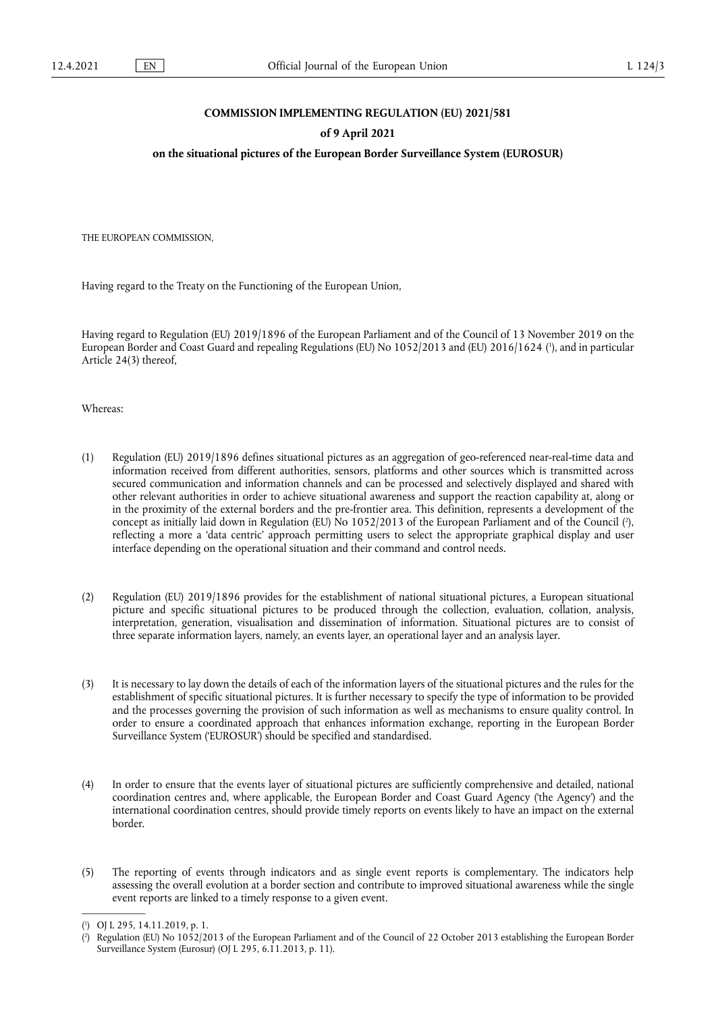## **COMMISSION IMPLEMENTING REGULATION (EU) 2021/581**

### **of 9 April 2021**

## **on the situational pictures of the European Border Surveillance System (EUROSUR)**

THE EUROPEAN COMMISSION,

Having regard to the Treaty on the Functioning of the European Union,

<span id="page-0-2"></span>Having regard to Regulation (EU) 2019/1896 of the European Parliament and of the Council of 13 November 2019 on the European Border and Coast Guard and repealing Regulations (EU) No 1052/2013 and (EU) 2016/1624 [\(](#page-0-0) 1 ), and in particular Article 24(3) thereof,

Whereas:

- <span id="page-0-3"></span>(1) Regulation (EU) 2019/1896 defines situational pictures as an aggregation of geo-referenced near-real-time data and information received from different authorities, sensors, platforms and other sources which is transmitted across secured communication and information channels and can be processed and selectively displayed and shared with other relevant authorities in order to achieve situational awareness and support the reaction capability at, along or in the proximity of the external borders and the pre-frontier area. This definition, represents a development of the concept as initially laid down in Regulation (EU) No 1052/2013 of the European Parliament and of the Council [\(](#page-0-1) 2 ), reflecting a more a 'data centric' approach permitting users to select the appropriate graphical display and user interface depending on the operational situation and their command and control needs.
- (2) Regulation (EU) 2019/1896 provides for the establishment of national situational pictures, a European situational picture and specific situational pictures to be produced through the collection, evaluation, collation, analysis, interpretation, generation, visualisation and dissemination of information. Situational pictures are to consist of three separate information layers, namely, an events layer, an operational layer and an analysis layer.
- (3) It is necessary to lay down the details of each of the information layers of the situational pictures and the rules for the establishment of specific situational pictures. It is further necessary to specify the type of information to be provided and the processes governing the provision of such information as well as mechanisms to ensure quality control. In order to ensure a coordinated approach that enhances information exchange, reporting in the European Border Surveillance System ('EUROSUR') should be specified and standardised.
- (4) In order to ensure that the events layer of situational pictures are sufficiently comprehensive and detailed, national coordination centres and, where applicable, the European Border and Coast Guard Agency ('the Agency') and the international coordination centres, should provide timely reports on events likely to have an impact on the external border.
- (5) The reporting of events through indicators and as single event reports is complementary. The indicators help assessing the overall evolution at a border section and contribute to improved situational awareness while the single event reports are linked to a timely response to a given event.

<span id="page-0-0"></span>[<sup>\(</sup>](#page-0-2) 1 ) OJ L 295, 14.11.2019, p. 1.

<span id="page-0-1"></span>[<sup>\(</sup>](#page-0-3) 2 ) Regulation (EU) No 1052/2013 of the European Parliament and of the Council of 22 October 2013 establishing the European Border Surveillance System (Eurosur) (OJ L 295, 6.11.2013, p. 11).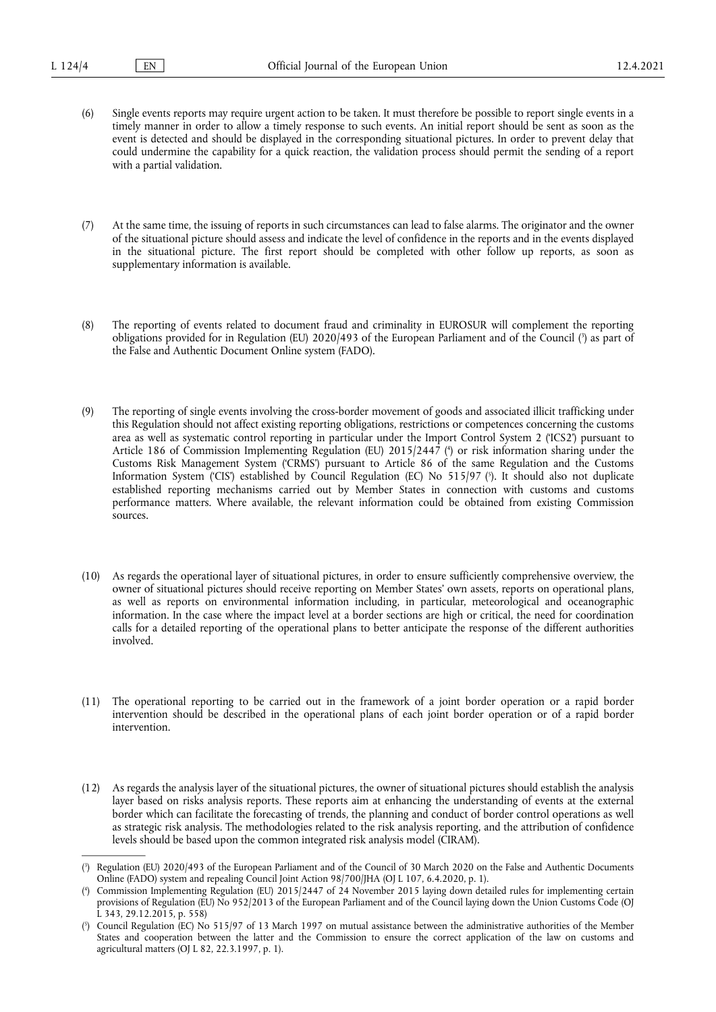- (6) Single events reports may require urgent action to be taken. It must therefore be possible to report single events in a timely manner in order to allow a timely response to such events. An initial report should be sent as soon as the event is detected and should be displayed in the corresponding situational pictures. In order to prevent delay that could undermine the capability for a quick reaction, the validation process should permit the sending of a report with a partial validation.
- (7) At the same time, the issuing of reports in such circumstances can lead to false alarms. The originator and the owner of the situational picture should assess and indicate the level of confidence in the reports and in the events displayed in the situational picture. The first report should be completed with other follow up reports, as soon as supplementary information is available.
- <span id="page-1-3"></span>(8) The reporting of events related to document fraud and criminality in EUROSUR will complement the reporting obligations provided for in Regulation (EU) 2020/493 of the European Parliament and of the Council [\(](#page-1-0) 3 ) as part of the False and Authentic Document Online system (FADO).
- <span id="page-1-5"></span><span id="page-1-4"></span>(9) The reporting of single events involving the cross-border movement of goods and associated illicit trafficking under this Regulation should not affect existing reporting obligations, restrictions or competences concerning the customs area as well as systematic control reporting in particular under the Import Control System 2 ('ICS2') pursuant to Article 186 of Commission Implementing Regulation (EU) 2015/2447 [\(](#page-1-1) 4 ) or risk information sharing under the Customs Risk Management System ('CRMS') pursuant to Article 86 of the same Regulation and the Customs Information System ('CIS') established by Council Regulation (EC) No 515/97 [\(](#page-1-2) 5 ). It should also not duplicate established reporting mechanisms carried out by Member States in connection with customs and customs performance matters. Where available, the relevant information could be obtained from existing Commission sources.
- (10) As regards the operational layer of situational pictures, in order to ensure sufficiently comprehensive overview, the owner of situational pictures should receive reporting on Member States' own assets, reports on operational plans, as well as reports on environmental information including, in particular, meteorological and oceanographic information. In the case where the impact level at a border sections are high or critical, the need for coordination calls for a detailed reporting of the operational plans to better anticipate the response of the different authorities involved.
- (11) The operational reporting to be carried out in the framework of a joint border operation or a rapid border intervention should be described in the operational plans of each joint border operation or of a rapid border intervention.
- (12) As regards the analysis layer of the situational pictures, the owner of situational pictures should establish the analysis layer based on risks analysis reports. These reports aim at enhancing the understanding of events at the external border which can facilitate the forecasting of trends, the planning and conduct of border control operations as well as strategic risk analysis. The methodologies related to the risk analysis reporting, and the attribution of confidence levels should be based upon the common integrated risk analysis model (CIRAM).

<span id="page-1-0"></span>[<sup>\(</sup>](#page-1-3) 3 ) Regulation (EU) 2020/493 of the European Parliament and of the Council of 30 March 2020 on the False and Authentic Documents Online (FADO) system and repealing Council Joint Action 98/700/JHA (OJ L 107, 6.4.2020, p. 1).

<span id="page-1-1"></span>[<sup>\(</sup>](#page-1-4) 4 ) Commission Implementing Regulation (EU) 2015/2447 of 24 November 2015 laying down detailed rules for implementing certain provisions of Regulation (EU) No 952/2013 of the European Parliament and of the Council laying down the Union Customs Code (OJ L 343, 29.12.2015, p. 558)

<span id="page-1-2"></span>[<sup>\(</sup>](#page-1-5) 5 ) Council Regulation (EC) No 515/97 of 13 March 1997 on mutual assistance between the administrative authorities of the Member States and cooperation between the latter and the Commission to ensure the correct application of the law on customs and agricultural matters (OJ L 82, 22.3.1997, p. 1).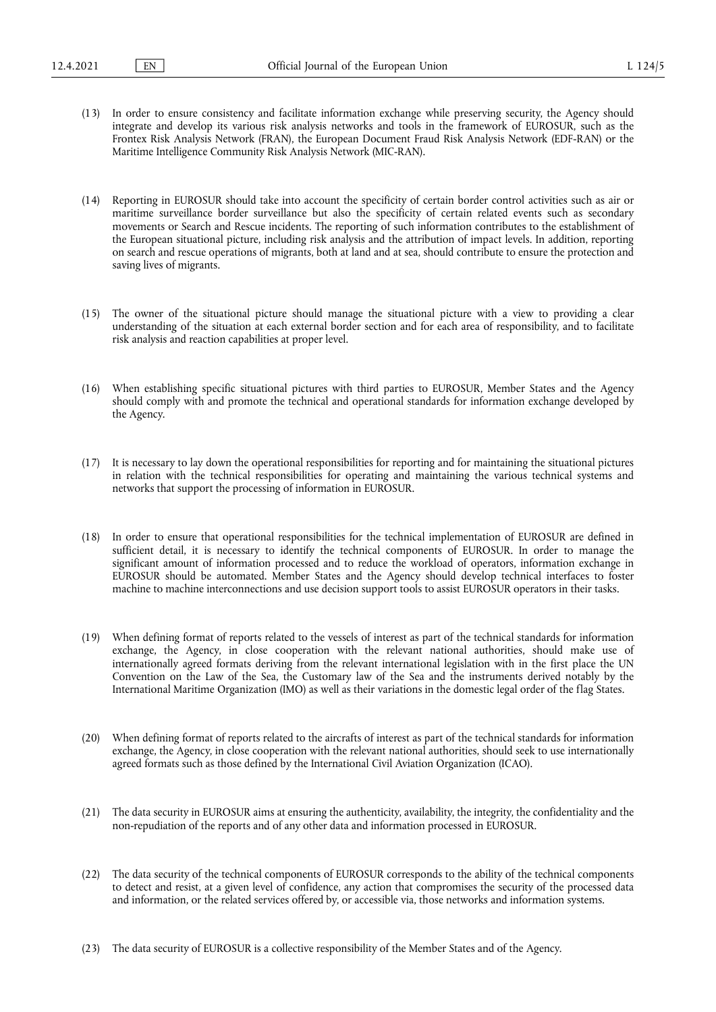- (13) In order to ensure consistency and facilitate information exchange while preserving security, the Agency should integrate and develop its various risk analysis networks and tools in the framework of EUROSUR, such as the Frontex Risk Analysis Network (FRAN), the European Document Fraud Risk Analysis Network (EDF-RAN) or the Maritime Intelligence Community Risk Analysis Network (MIC-RAN).
- (14) Reporting in EUROSUR should take into account the specificity of certain border control activities such as air or maritime surveillance border surveillance but also the specificity of certain related events such as secondary movements or Search and Rescue incidents. The reporting of such information contributes to the establishment of the European situational picture, including risk analysis and the attribution of impact levels. In addition, reporting on search and rescue operations of migrants, both at land and at sea, should contribute to ensure the protection and saving lives of migrants.
- (15) The owner of the situational picture should manage the situational picture with a view to providing a clear understanding of the situation at each external border section and for each area of responsibility, and to facilitate risk analysis and reaction capabilities at proper level.
- (16) When establishing specific situational pictures with third parties to EUROSUR, Member States and the Agency should comply with and promote the technical and operational standards for information exchange developed by the Agency.
- (17) It is necessary to lay down the operational responsibilities for reporting and for maintaining the situational pictures in relation with the technical responsibilities for operating and maintaining the various technical systems and networks that support the processing of information in EUROSUR.
- (18) In order to ensure that operational responsibilities for the technical implementation of EUROSUR are defined in sufficient detail, it is necessary to identify the technical components of EUROSUR. In order to manage the significant amount of information processed and to reduce the workload of operators, information exchange in EUROSUR should be automated. Member States and the Agency should develop technical interfaces to foster machine to machine interconnections and use decision support tools to assist EUROSUR operators in their tasks.
- (19) When defining format of reports related to the vessels of interest as part of the technical standards for information exchange, the Agency, in close cooperation with the relevant national authorities, should make use of internationally agreed formats deriving from the relevant international legislation with in the first place the UN Convention on the Law of the Sea, the Customary law of the Sea and the instruments derived notably by the International Maritime Organization (IMO) as well as their variations in the domestic legal order of the flag States.
- (20) When defining format of reports related to the aircrafts of interest as part of the technical standards for information exchange, the Agency, in close cooperation with the relevant national authorities, should seek to use internationally agreed formats such as those defined by the International Civil Aviation Organization (ICAO).
- (21) The data security in EUROSUR aims at ensuring the authenticity, availability, the integrity, the confidentiality and the non-repudiation of the reports and of any other data and information processed in EUROSUR.
- (22) The data security of the technical components of EUROSUR corresponds to the ability of the technical components to detect and resist, at a given level of confidence, any action that compromises the security of the processed data and information, or the related services offered by, or accessible via, those networks and information systems.
- (23) The data security of EUROSUR is a collective responsibility of the Member States and of the Agency.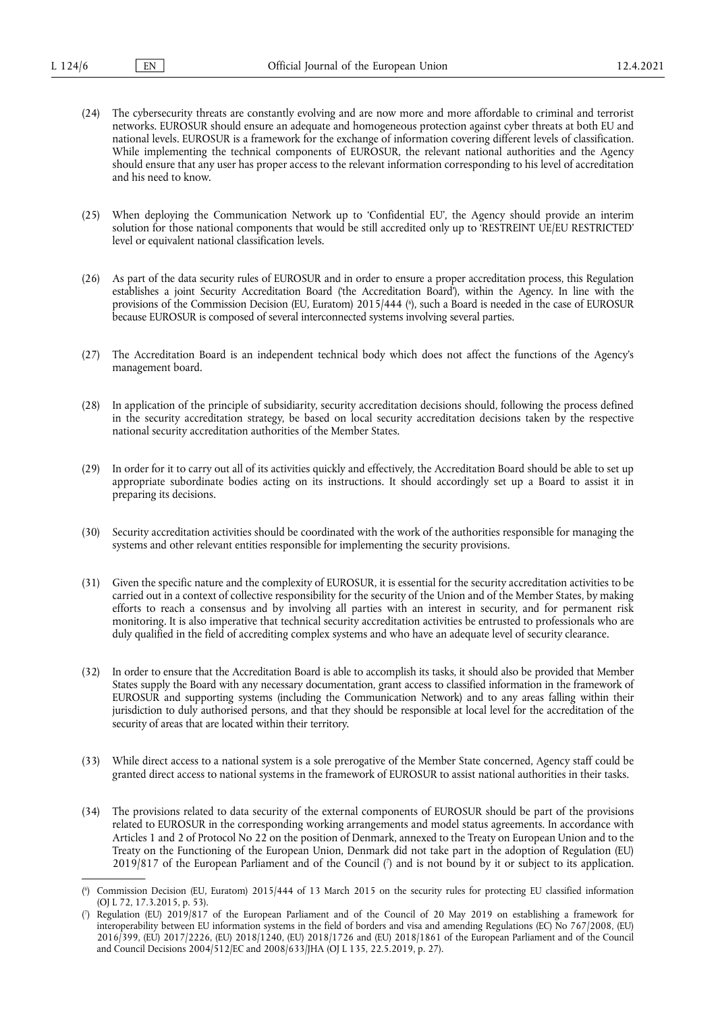- (24) The cybersecurity threats are constantly evolving and are now more and more affordable to criminal and terrorist networks. EUROSUR should ensure an adequate and homogeneous protection against cyber threats at both EU and national levels. EUROSUR is a framework for the exchange of information covering different levels of classification. While implementing the technical components of EUROSUR, the relevant national authorities and the Agency should ensure that any user has proper access to the relevant information corresponding to his level of accreditation and his need to know.
- (25) When deploying the Communication Network up to 'Confidential EU', the Agency should provide an interim solution for those national components that would be still accredited only up to 'RESTREINT UE/EU RESTRICTED' level or equivalent national classification levels.
- <span id="page-3-2"></span>(26) As part of the data security rules of EUROSUR and in order to ensure a proper accreditation process, this Regulation establishes a joint Security Accreditation Board ('the Accreditation Board'), within the Agency. In line with the provisions of the Commission Decision (EU, Euratom) 2015/444 ( 6 [\),](#page-3-0) such a Board is needed in the case of EUROSUR because EUROSUR is composed of several interconnected systems involving several parties.
- (27) The Accreditation Board is an independent technical body which does not affect the functions of the Agency's management board.
- (28) In application of the principle of subsidiarity, security accreditation decisions should, following the process defined in the security accreditation strategy, be based on local security accreditation decisions taken by the respective national security accreditation authorities of the Member States.
- (29) In order for it to carry out all of its activities quickly and effectively, the Accreditation Board should be able to set up appropriate subordinate bodies acting on its instructions. It should accordingly set up a Board to assist it in preparing its decisions.
- (30) Security accreditation activities should be coordinated with the work of the authorities responsible for managing the systems and other relevant entities responsible for implementing the security provisions.
- (31) Given the specific nature and the complexity of EUROSUR, it is essential for the security accreditation activities to be carried out in a context of collective responsibility for the security of the Union and of the Member States, by making efforts to reach a consensus and by involving all parties with an interest in security, and for permanent risk monitoring. It is also imperative that technical security accreditation activities be entrusted to professionals who are duly qualified in the field of accrediting complex systems and who have an adequate level of security clearance.
- (32) In order to ensure that the Accreditation Board is able to accomplish its tasks, it should also be provided that Member States supply the Board with any necessary documentation, grant access to classified information in the framework of EUROSUR and supporting systems (including the Communication Network) and to any areas falling within their jurisdiction to duly authorised persons, and that they should be responsible at local level for the accreditation of the security of areas that are located within their territory.
- (33) While direct access to a national system is a sole prerogative of the Member State concerned, Agency staff could be granted direct access to national systems in the framework of EUROSUR to assist national authorities in their tasks.
- (34) The provisions related to data security of the external components of EUROSUR should be part of the provisions related to EUROSUR in the corresponding working arrangements and model status agreements. In accordance with Articles 1 and 2 of Protocol No 22 on the position of Denmark, annexed to the Treaty on European Union and to the Treaty on the Functioning of the European Union, Denmark did not take part in the adoption of Regulation (EU) 2019/817 of the European Parliament and of the Council [\(](#page-3-1) 7 ) and is not bound by it or subject to its application.

<span id="page-3-3"></span><span id="page-3-0"></span>[<sup>\(</sup>](#page-3-2) 6 ) Commission Decision (EU, Euratom) 2015/444 of 13 March 2015 on the security rules for protecting EU classified information (OJ L 72, 17.3.2015, p. 53).

<span id="page-3-1"></span>[<sup>\(</sup>](#page-3-3) 7 ) Regulation (EU) 2019/817 of the European Parliament and of the Council of 20 May 2019 on establishing a framework for interoperability between EU information systems in the field of borders and visa and amending Regulations (EC) No 767/2008, (EU) 2016/399, (EU) 2017/2226, (EU) 2018/1240, (EU) 2018/1726 and (EU) 2018/1861 of the European Parliament and of the Council and Council Decisions 2004/512/EC and 2008/633/JHA (OJ L 135, 22.5.2019, p. 27).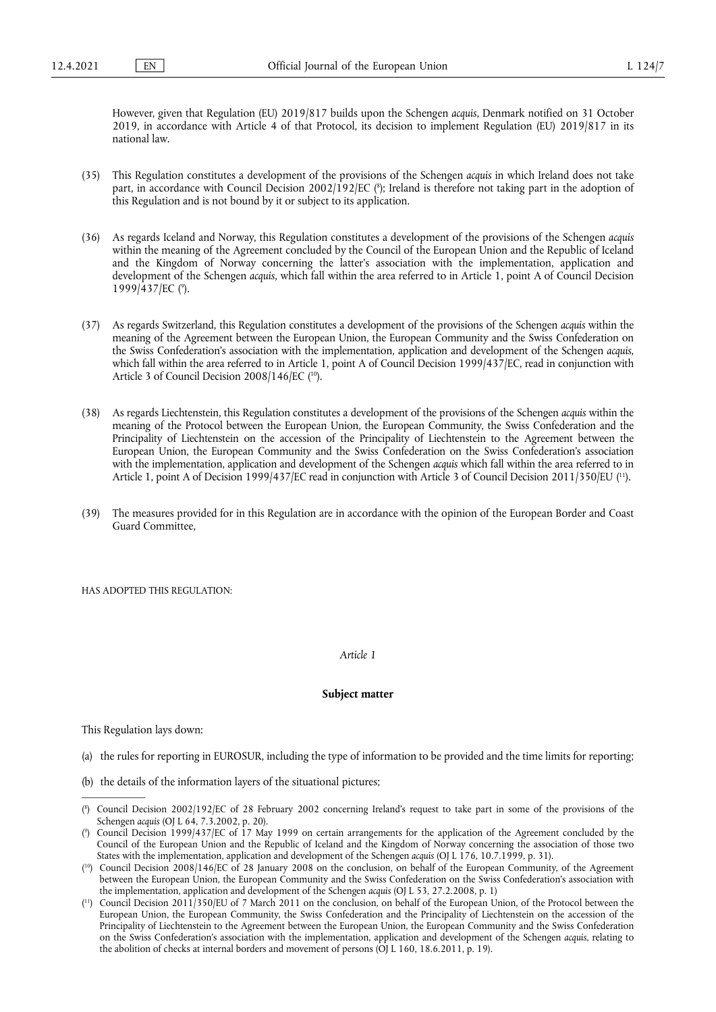However, given that Regulation (EU) 2019/817 builds upon the Schengen *acquis*, Denmark notified on 31 October 2019, in accordance with Article 4 of that Protocol, its decision to implement Regulation (EU) 2019/817 in its national law.

- <span id="page-4-4"></span>(35) This Regulation constitutes a development of the provisions of the Schengen *acquis* in which Ireland does not take part, in accordance with Council Decision 2002/192/EC ( 8 [\);](#page-4-0) Ireland is therefore not taking part in the adoption of this Regulation and is not bound by it or subject to its application.
- (36) As regards Iceland and Norway, this Regulation constitutes a development of the provisions of the Schengen *acquis*  within the meaning of the Agreement concluded by the Council of the European Union and the Republic of Iceland and the Kingdom of Norway concerning the latter's association with the implementation, application and development of the Schengen *acquis*, which fall within the area referred to in Article 1, point A of Council Decision 1999/437/EC (°[\).](#page-4-1)
- <span id="page-4-5"></span>(37) As regards Switzerland, this Regulation constitutes a development of the provisions of the Schengen *acquis* within the meaning of the Agreement between the European Union, the European Community and the Swiss Confederation on the Swiss Confederation's association with the implementation, application and development of the Schengen *acquis*, which fall within the area referred to in Article 1, point A of Council Decision 1999/437/EC, read in conjunction with Article 3 of Council Decision 2008/146/EC ([10\).](#page-4-2)
- <span id="page-4-6"></span>(38) As regards Liechtenstein, this Regulation constitutes a development of the provisions of the Schengen *acquis* within the meaning of the Protocol between the European Union, the European Community, the Swiss Confederation and the Principality of Liechtenstein on the accession of the Principality of Liechtenstein to the Agreement between the European Union, the European Community and the Swiss Confederation on the Swiss Confederation's association with the implementation, application and development of the Schengen *acquis* which fall within the area referred to in Article 1, point A of Decision 1999/437/EC read in conjunction with Article 3 of Council Decision 2011/350/EU ( [11\).](#page-4-3)
- <span id="page-4-7"></span>(39) The measures provided for in this Regulation are in accordance with the opinion of the European Border and Coast Guard Committee,

HAS ADOPTED THIS REGULATION:

#### *Article 1*

#### **Subject matter**

This Regulation lays down:

- (a) the rules for reporting in EUROSUR, including the type of information to be provided and the time limits for reporting;
- (b) the details of the information layers of the situational pictures;

<span id="page-4-0"></span>[<sup>\(</sup>](#page-4-4) 8 ) Council Decision 2002/192/EC of 28 February 2002 concerning Ireland's request to take part in some of the provisions of the Schengen *acquis* (OJ L 64, 7.3.2002, p. 20).

<span id="page-4-1"></span>[<sup>\(</sup>](#page-4-5) 9 ) Council Decision 1999/437/EC of 17 May 1999 on certain arrangements for the application of the Agreement concluded by the Council of the European Union and the Republic of Iceland and the Kingdom of Norway concerning the association of those two States with the implementation, application and development of the Schengen *acquis* (OJ L 176, 10.7.1999, p. 31).

<span id="page-4-2"></span><sup>(</sup> [10\)](#page-4-6) Council Decision 2008/146/EC of 28 January 2008 on the conclusion, on behalf of the European Community, of the Agreement between the European Union, the European Community and the Swiss Confederation on the Swiss Confederation's association with the implementation, application and development of the Schengen *acquis* (OJ L 53, 27.2.2008, p. 1)

<span id="page-4-3"></span><sup>(</sup> [11\)](#page-4-7) Council Decision 2011/350/EU of 7 March 2011 on the conclusion, on behalf of the European Union, of the Protocol between the European Union, the European Community, the Swiss Confederation and the Principality of Liechtenstein on the accession of the Principality of Liechtenstein to the Agreement between the European Union, the European Community and the Swiss Confederation on the Swiss Confederation's association with the implementation, application and development of the Schengen *acquis*, relating to the abolition of checks at internal borders and movement of persons (OJ L 160, 18.6.2011, p. 19).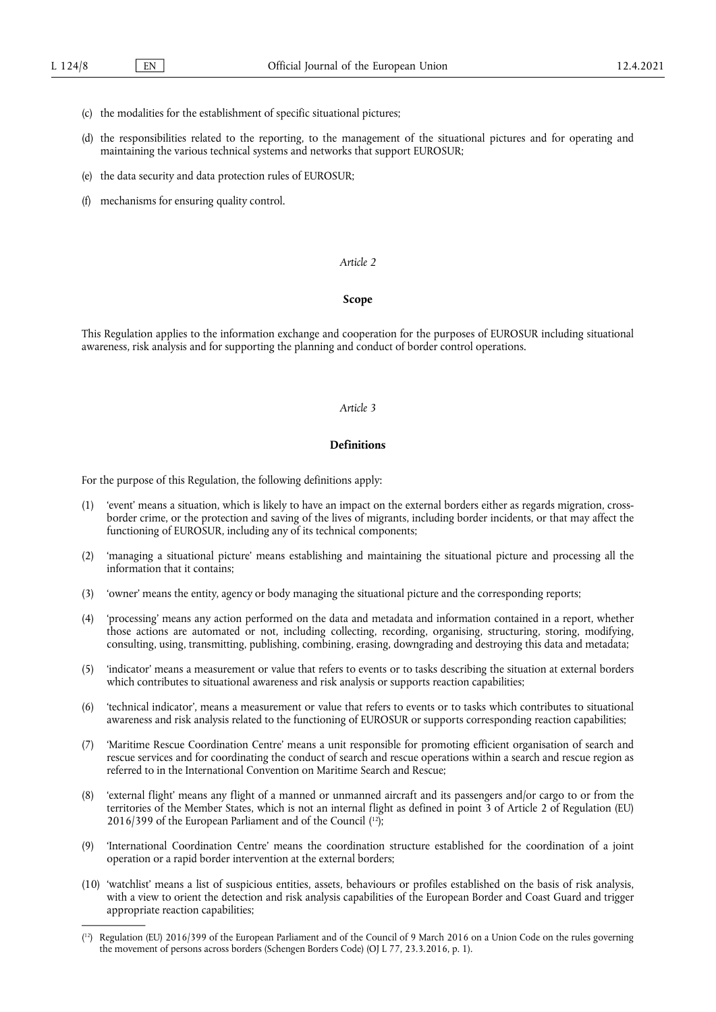- (c) the modalities for the establishment of specific situational pictures;
- (d) the responsibilities related to the reporting, to the management of the situational pictures and for operating and maintaining the various technical systems and networks that support EUROSUR;
- (e) the data security and data protection rules of EUROSUR;
- (f) mechanisms for ensuring quality control.

#### **Scope**

This Regulation applies to the information exchange and cooperation for the purposes of EUROSUR including situational awareness, risk analysis and for supporting the planning and conduct of border control operations.

## *Article 3*

#### **Definitions**

For the purpose of this Regulation, the following definitions apply:

- (1) 'event' means a situation, which is likely to have an impact on the external borders either as regards migration, crossborder crime, or the protection and saving of the lives of migrants, including border incidents, or that may affect the functioning of EUROSUR, including any of its technical components;
- (2) 'managing a situational picture' means establishing and maintaining the situational picture and processing all the information that it contains;
- (3) 'owner' means the entity, agency or body managing the situational picture and the corresponding reports;
- (4) 'processing' means any action performed on the data and metadata and information contained in a report, whether those actions are automated or not, including collecting, recording, organising, structuring, storing, modifying, consulting, using, transmitting, publishing, combining, erasing, downgrading and destroying this data and metadata;
- (5) 'indicator' means a measurement or value that refers to events or to tasks describing the situation at external borders which contributes to situational awareness and risk analysis or supports reaction capabilities;
- (6) 'technical indicator', means a measurement or value that refers to events or to tasks which contributes to situational awareness and risk analysis related to the functioning of EUROSUR or supports corresponding reaction capabilities;
- (7) 'Maritime Rescue Coordination Centre' means a unit responsible for promoting efficient organisation of search and rescue services and for coordinating the conduct of search and rescue operations within a search and rescue region as referred to in the International Convention on Maritime Search and Rescue;
- <span id="page-5-1"></span>(8) 'external flight' means any flight of a manned or unmanned aircraft and its passengers and/or cargo to or from the territories of the Member States, which is not an internal flight as defined in point 3 of Article 2 of Regulation (EU) 2016/399 of the European Parliament and of the Council ( [12\)](#page-5-0);
- (9) 'International Coordination Centre' means the coordination structure established for the coordination of a joint operation or a rapid border intervention at the external borders;
- (10) 'watchlist' means a list of suspicious entities, assets, behaviours or profiles established on the basis of risk analysis, with a view to orient the detection and risk analysis capabilities of the European Border and Coast Guard and trigger appropriate reaction capabilities;

<span id="page-5-0"></span><sup>(</sup> [12\)](#page-5-1) Regulation (EU) 2016/399 of the European Parliament and of the Council of 9 March 2016 on a Union Code on the rules governing the movement of persons across borders (Schengen Borders Code) (OJ L 77, 23.3.2016, p. 1).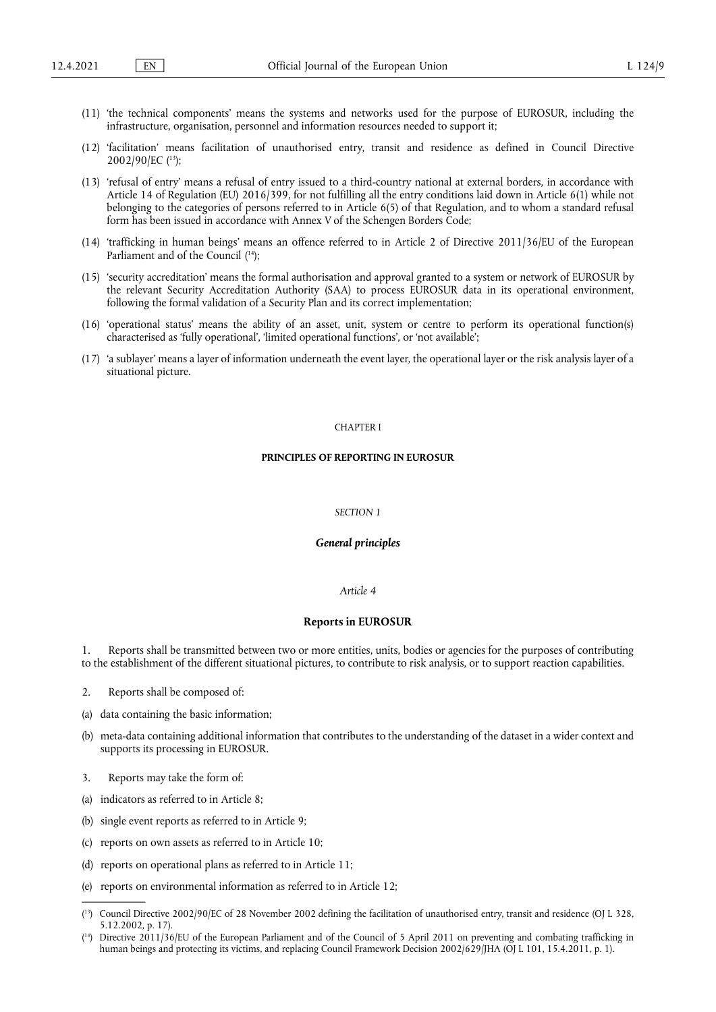- (11) 'the technical components' means the systems and networks used for the purpose of EUROSUR, including the infrastructure, organisation, personnel and information resources needed to support it;
- <span id="page-6-2"></span>(12) 'facilitation' means facilitation of unauthorised entry, transit and residence as defined in Council Directive 2002/90/EC ( [13\);](#page-6-0)
- (13) 'refusal of entry' means a refusal of entry issued to a third-country national at external borders, in accordance with Article 14 of Regulation (EU) 2016/399, for not fulfilling all the entry conditions laid down in Article 6(1) while not belonging to the categories of persons referred to in Article 6(5) of that Regulation, and to whom a standard refusal form has been issued in accordance with Annex V of the Schengen Borders Code;
- <span id="page-6-3"></span>(14) 'trafficking in human beings' means an offence referred to in Article 2 of Directive 2011/36/EU of the European Parliament and of the Council ( [14\);](#page-6-1)
- (15) 'security accreditation' means the formal authorisation and approval granted to a system or network of EUROSUR by the relevant Security Accreditation Authority (SAA) to process EUROSUR data in its operational environment, following the formal validation of a Security Plan and its correct implementation;
- (16) 'operational status' means the ability of an asset, unit, system or centre to perform its operational function(s) characterised as 'fully operational', 'limited operational functions', or 'not available';
- (17) 'a sublayer' means a layer of information underneath the event layer, the operational layer or the risk analysis layer of a situational picture.

## CHAPTER I

#### **PRINCIPLES OF REPORTING IN EUROSUR**

#### *SECTION 1*

#### *General principles*

#### *Article 4*

#### **Reports in EUROSUR**

Reports shall be transmitted between two or more entities, units, bodies or agencies for the purposes of contributing to the establishment of the different situational pictures, to contribute to risk analysis, or to support reaction capabilities.

- 2. Reports shall be composed of:
- (a) data containing the basic information;
- (b) meta-data containing additional information that contributes to the understanding of the dataset in a wider context and supports its processing in EUROSUR.
- 3. Reports may take the form of:
- (a) indicators as referred to in Article 8;
- (b) single event reports as referred to in Article 9;
- (c) reports on own assets as referred to in Article 10;
- (d) reports on operational plans as referred to in Article 11;
- (e) reports on environmental information as referred to in Article 12;

<span id="page-6-0"></span><sup>(</sup> [13\)](#page-6-2) Council Directive 2002/90/EC of 28 November 2002 defining the facilitation of unauthorised entry, transit and residence (OJ L 328, 5.12.2002, p. 17).

<span id="page-6-1"></span><sup>(</sup> Directive 2011/36/EU of the European Parliament and of the Council of 5 April 2011 on preventing and combating trafficking in human beings and protecting its victims, and replacing Council Framework Decision 2002/629/JHA (OJ L 101, 15.4.2011, p. 1).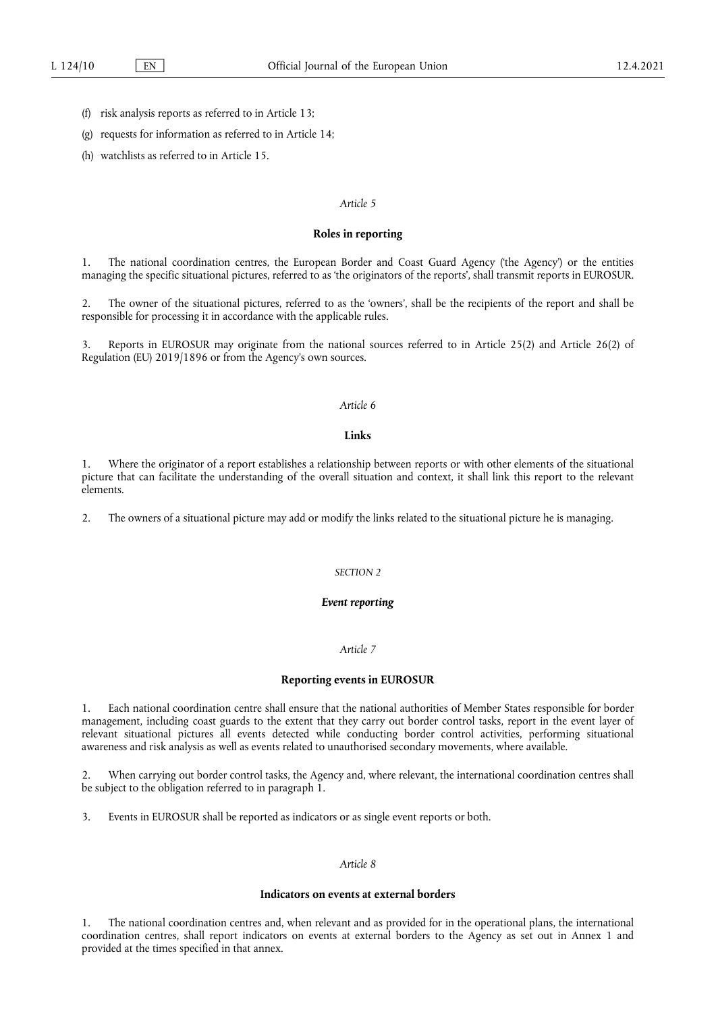- (f) risk analysis reports as referred to in Article 13;
- (g) requests for information as referred to in Article 14;
- (h) watchlists as referred to in Article 15.

#### **Roles in reporting**

1. The national coordination centres, the European Border and Coast Guard Agency ('the Agency') or the entities managing the specific situational pictures, referred to as 'the originators of the reports', shall transmit reports in EUROSUR.

2. The owner of the situational pictures, referred to as the 'owners', shall be the recipients of the report and shall be responsible for processing it in accordance with the applicable rules.

3. Reports in EUROSUR may originate from the national sources referred to in Article 25(2) and Article 26(2) of Regulation (EU) 2019/1896 or from the Agency's own sources.

# *Article 6*

#### **Links**

Where the originator of a report establishes a relationship between reports or with other elements of the situational picture that can facilitate the understanding of the overall situation and context, it shall link this report to the relevant elements.

2. The owners of a situational picture may add or modify the links related to the situational picture he is managing.

#### *SECTION 2*

#### *Event reporting*

## *Article 7*

#### **Reporting events in EUROSUR**

1. Each national coordination centre shall ensure that the national authorities of Member States responsible for border management, including coast guards to the extent that they carry out border control tasks, report in the event layer of relevant situational pictures all events detected while conducting border control activities, performing situational awareness and risk analysis as well as events related to unauthorised secondary movements, where available.

2. When carrying out border control tasks, the Agency and, where relevant, the international coordination centres shall be subject to the obligation referred to in paragraph 1.

3. Events in EUROSUR shall be reported as indicators or as single event reports or both.

# *Article 8*

#### **Indicators on events at external borders**

1. The national coordination centres and, when relevant and as provided for in the operational plans, the international coordination centres, shall report indicators on events at external borders to the Agency as set out in Annex 1 and provided at the times specified in that annex.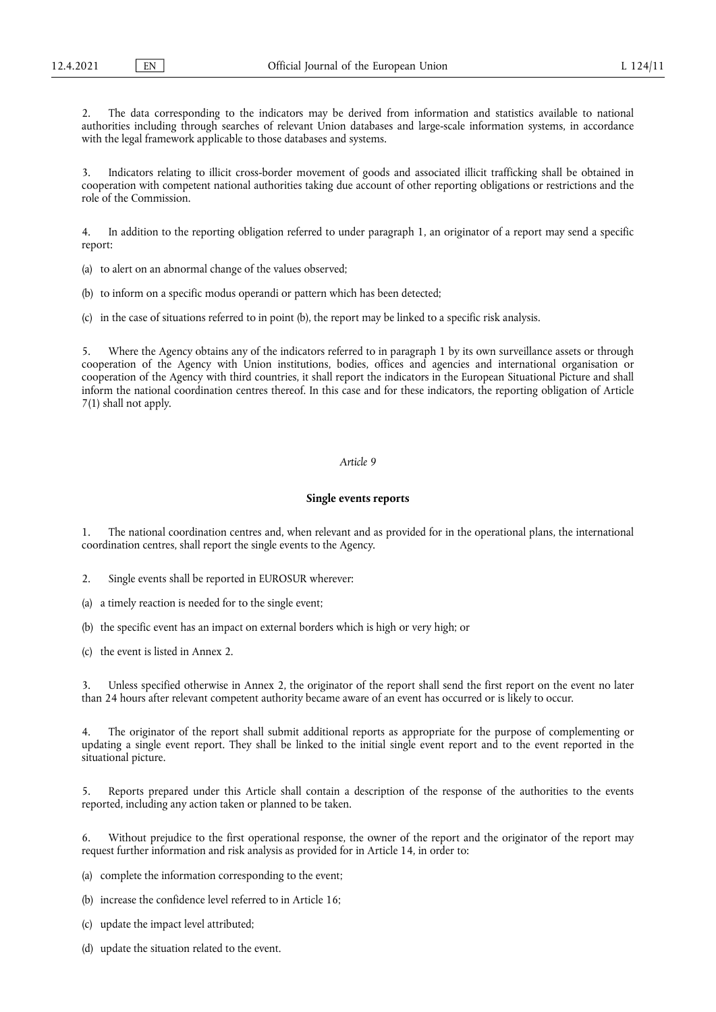2. The data corresponding to the indicators may be derived from information and statistics available to national authorities including through searches of relevant Union databases and large-scale information systems, in accordance with the legal framework applicable to those databases and systems.

3. Indicators relating to illicit cross-border movement of goods and associated illicit trafficking shall be obtained in cooperation with competent national authorities taking due account of other reporting obligations or restrictions and the role of the Commission.

4. In addition to the reporting obligation referred to under paragraph 1, an originator of a report may send a specific report:

- (a) to alert on an abnormal change of the values observed;
- (b) to inform on a specific modus operandi or pattern which has been detected;
- (c) in the case of situations referred to in point (b), the report may be linked to a specific risk analysis.

5. Where the Agency obtains any of the indicators referred to in paragraph 1 by its own surveillance assets or through cooperation of the Agency with Union institutions, bodies, offices and agencies and international organisation or cooperation of the Agency with third countries, it shall report the indicators in the European Situational Picture and shall inform the national coordination centres thereof. In this case and for these indicators, the reporting obligation of Article 7(1) shall not apply.

## *Article 9*

#### **Single events reports**

1. The national coordination centres and, when relevant and as provided for in the operational plans, the international coordination centres, shall report the single events to the Agency.

- 2. Single events shall be reported in EUROSUR wherever:
- a timely reaction is needed for to the single event;
- (b) the specific event has an impact on external borders which is high or very high; or
- (c) the event is listed in Annex 2.

3. Unless specified otherwise in Annex 2, the originator of the report shall send the first report on the event no later than 24 hours after relevant competent authority became aware of an event has occurred or is likely to occur.

The originator of the report shall submit additional reports as appropriate for the purpose of complementing or updating a single event report. They shall be linked to the initial single event report and to the event reported in the situational picture.

5. Reports prepared under this Article shall contain a description of the response of the authorities to the events reported, including any action taken or planned to be taken.

6. Without prejudice to the first operational response, the owner of the report and the originator of the report may request further information and risk analysis as provided for in Article 14, in order to:

(a) complete the information corresponding to the event;

- (b) increase the confidence level referred to in Article 16;
- (c) update the impact level attributed;
- (d) update the situation related to the event.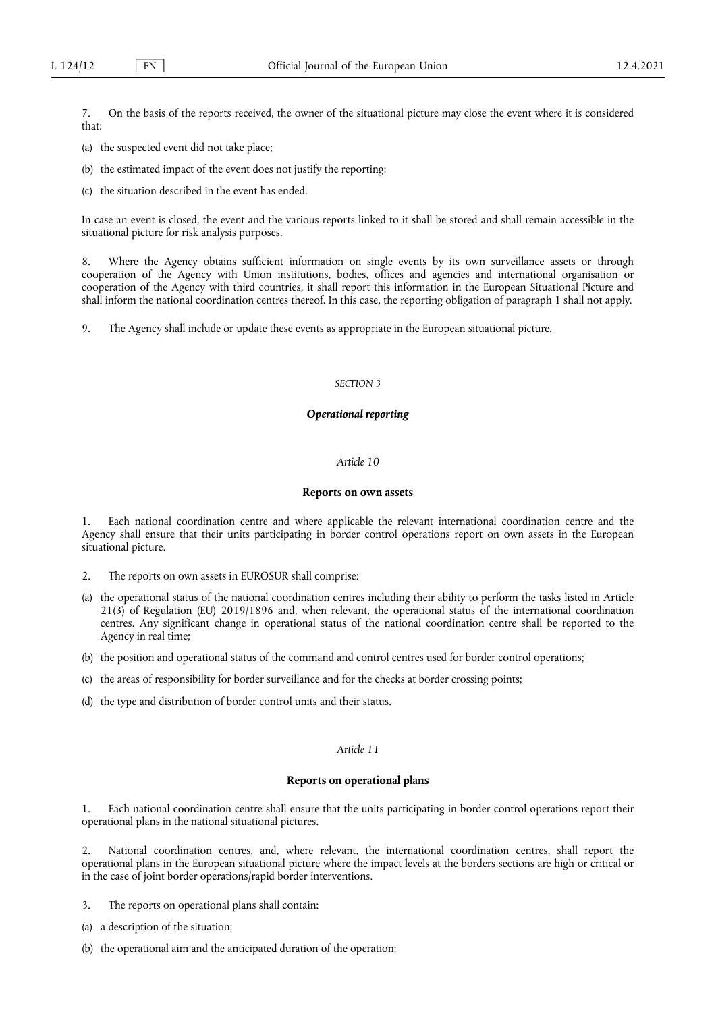7. On the basis of the reports received, the owner of the situational picture may close the event where it is considered that:

- (a) the suspected event did not take place;
- (b) the estimated impact of the event does not justify the reporting;
- (c) the situation described in the event has ended.

In case an event is closed, the event and the various reports linked to it shall be stored and shall remain accessible in the situational picture for risk analysis purposes.

Where the Agency obtains sufficient information on single events by its own surveillance assets or through cooperation of the Agency with Union institutions, bodies, offices and agencies and international organisation or cooperation of the Agency with third countries, it shall report this information in the European Situational Picture and shall inform the national coordination centres thereof. In this case, the reporting obligation of paragraph 1 shall not apply.

9. The Agency shall include or update these events as appropriate in the European situational picture.

#### *SECTION 3*

#### *Operational reporting*

## *Article 10*

## **Reports on own assets**

1. Each national coordination centre and where applicable the relevant international coordination centre and the Agency shall ensure that their units participating in border control operations report on own assets in the European situational picture.

- 2. The reports on own assets in EUROSUR shall comprise:
- (a) the operational status of the national coordination centres including their ability to perform the tasks listed in Article 21(3) of Regulation (EU) 2019/1896 and, when relevant, the operational status of the international coordination centres. Any significant change in operational status of the national coordination centre shall be reported to the Agency in real time;
- (b) the position and operational status of the command and control centres used for border control operations;
- (c) the areas of responsibility for border surveillance and for the checks at border crossing points;
- (d) the type and distribution of border control units and their status.

## *Article 11*

## **Reports on operational plans**

1. Each national coordination centre shall ensure that the units participating in border control operations report their operational plans in the national situational pictures.

2. National coordination centres, and, where relevant, the international coordination centres, shall report the operational plans in the European situational picture where the impact levels at the borders sections are high or critical or in the case of joint border operations/rapid border interventions.

- 3. The reports on operational plans shall contain:
- (a) a description of the situation;
- (b) the operational aim and the anticipated duration of the operation;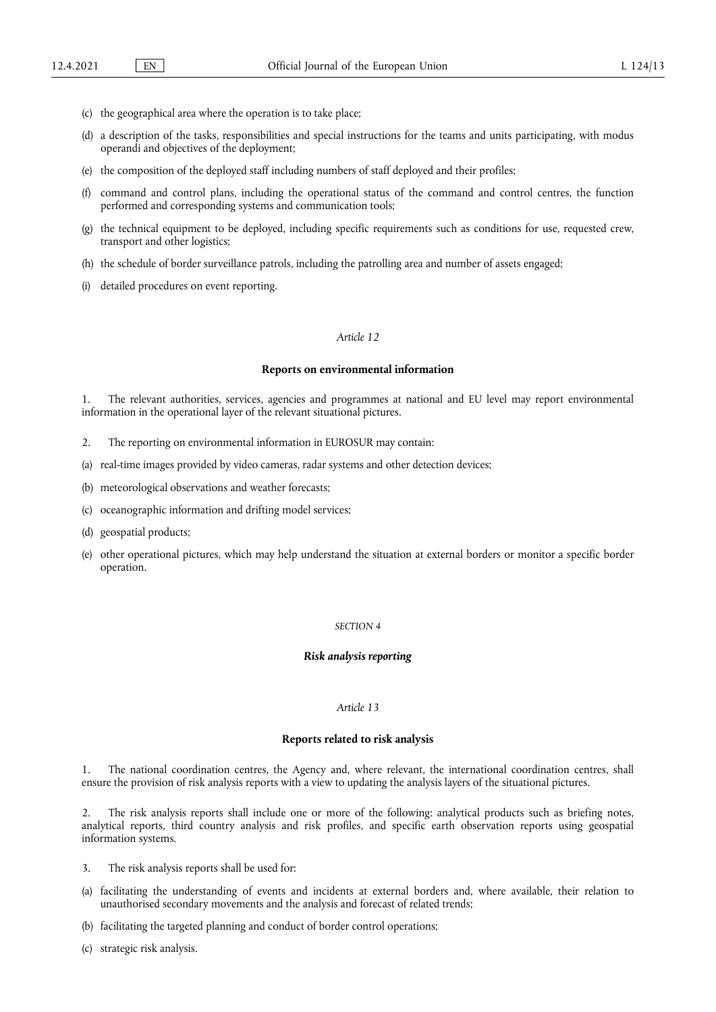- (c) the geographical area where the operation is to take place;
- (d) a description of the tasks, responsibilities and special instructions for the teams and units participating, with modus operandi and objectives of the deployment;
- (e) the composition of the deployed staff including numbers of staff deployed and their profiles;
- (f) command and control plans, including the operational status of the command and control centres, the function performed and corresponding systems and communication tools;
- (g) the technical equipment to be deployed, including specific requirements such as conditions for use, requested crew, transport and other logistics;
- (h) the schedule of border surveillance patrols, including the patrolling area and number of assets engaged;
- (i) detailed procedures on event reporting.

#### **Reports on environmental information**

1. The relevant authorities, services, agencies and programmes at national and EU level may report environmental information in the operational layer of the relevant situational pictures.

- 2. The reporting on environmental information in EUROSUR may contain:
- (a) real-time images provided by video cameras, radar systems and other detection devices;
- (b) meteorological observations and weather forecasts;
- (c) oceanographic information and drifting model services;
- (d) geospatial products;
- (e) other operational pictures, which may help understand the situation at external borders or monitor a specific border operation.

#### *SECTION 4*

#### *Risk analysis reporting*

# *Article 13*

## **Reports related to risk analysis**

1. The national coordination centres, the Agency and, where relevant, the international coordination centres, shall ensure the provision of risk analysis reports with a view to updating the analysis layers of the situational pictures.

2. The risk analysis reports shall include one or more of the following: analytical products such as briefing notes, analytical reports, third country analysis and risk profiles, and specific earth observation reports using geospatial information systems.

- 3. The risk analysis reports shall be used for:
- (a) facilitating the understanding of events and incidents at external borders and, where available, their relation to unauthorised secondary movements and the analysis and forecast of related trends;
- (b) facilitating the targeted planning and conduct of border control operations;
- (c) strategic risk analysis.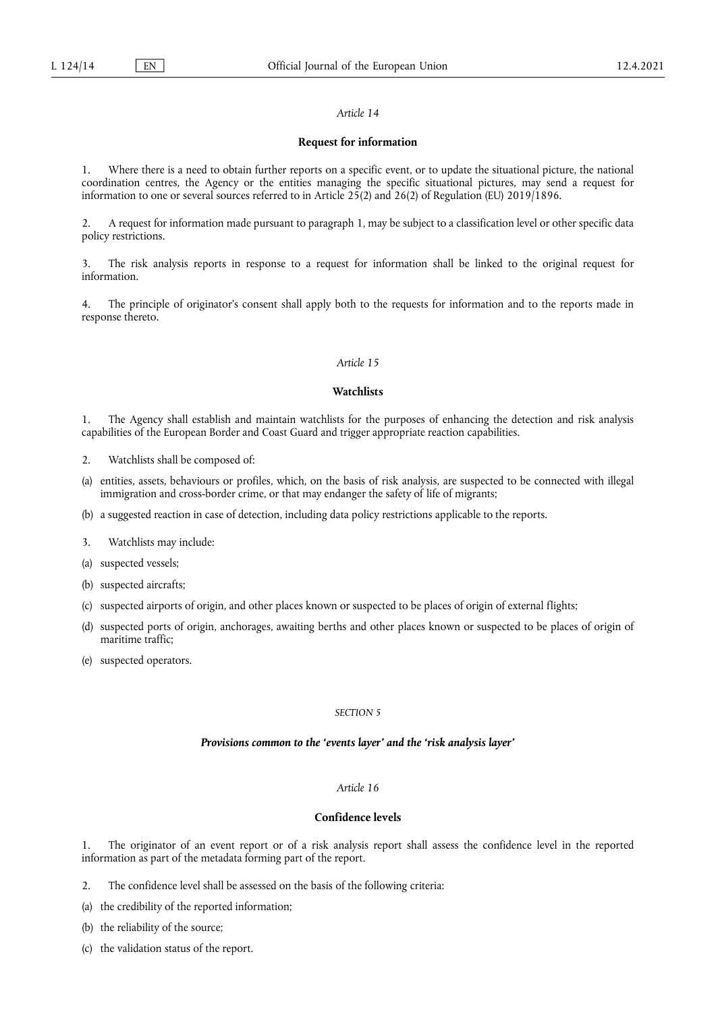#### **Request for information**

1. Where there is a need to obtain further reports on a specific event, or to update the situational picture, the national coordination centres, the Agency or the entities managing the specific situational pictures, may send a request for information to one or several sources referred to in Article 25(2) and 26(2) of Regulation (EU) 2019/1896.

2. A request for information made pursuant to paragraph 1, may be subject to a classification level or other specific data policy restrictions.

3. The risk analysis reports in response to a request for information shall be linked to the original request for information.

4. The principle of originator's consent shall apply both to the requests for information and to the reports made in response thereto.

## *Article 15*

## **Watchlists**

1. The Agency shall establish and maintain watchlists for the purposes of enhancing the detection and risk analysis capabilities of the European Border and Coast Guard and trigger appropriate reaction capabilities.

- 2. Watchlists shall be composed of:
- (a) entities, assets, behaviours or profiles, which, on the basis of risk analysis, are suspected to be connected with illegal immigration and cross-border crime, or that may endanger the safety of life of migrants;
- (b) a suggested reaction in case of detection, including data policy restrictions applicable to the reports.
- 3. Watchlists may include:
- (a) suspected vessels;
- (b) suspected aircrafts;
- (c) suspected airports of origin, and other places known or suspected to be places of origin of external flights;
- (d) suspected ports of origin, anchorages, awaiting berths and other places known or suspected to be places of origin of maritime traffic;
- (e) suspected operators.

## *SECTION 5*

## *Provisions common to the 'events layer' and the 'risk analysis layer'*

#### *Article 16*

# **Confidence levels**

1. The originator of an event report or of a risk analysis report shall assess the confidence level in the reported information as part of the metadata forming part of the report.

- 2. The confidence level shall be assessed on the basis of the following criteria:
- (a) the credibility of the reported information;
- (b) the reliability of the source;
- (c) the validation status of the report.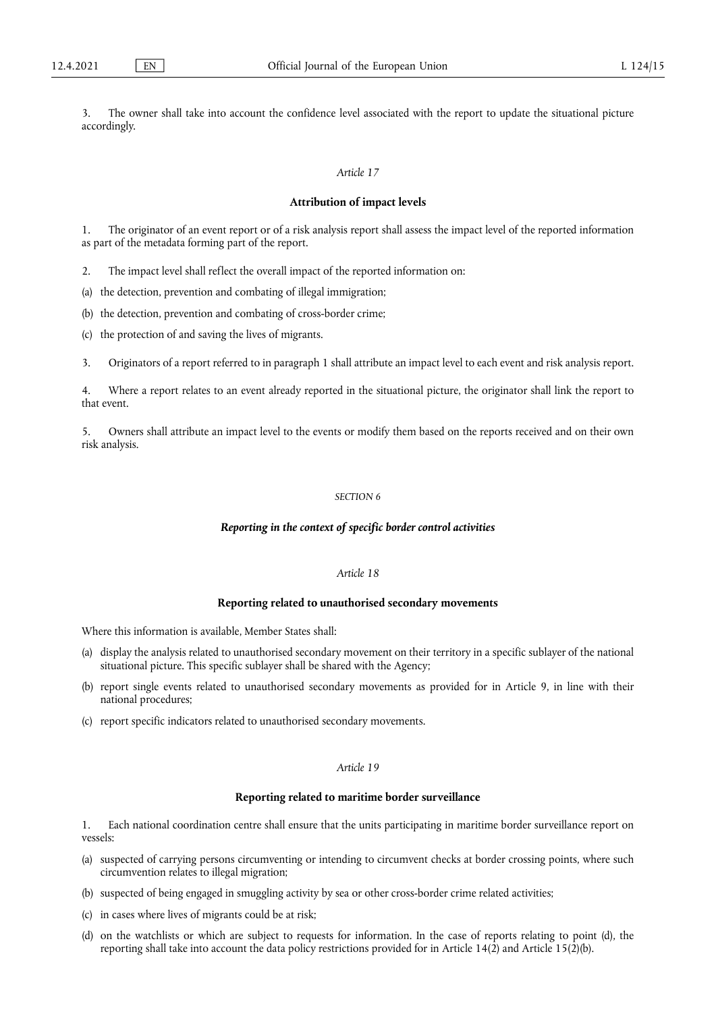3. The owner shall take into account the confidence level associated with the report to update the situational picture accordingly.

## *Article 17*

#### **Attribution of impact levels**

1. The originator of an event report or of a risk analysis report shall assess the impact level of the reported information as part of the metadata forming part of the report.

2. The impact level shall reflect the overall impact of the reported information on:

(a) the detection, prevention and combating of illegal immigration;

(b) the detection, prevention and combating of cross-border crime;

(c) the protection of and saving the lives of migrants.

3. Originators of a report referred to in paragraph 1 shall attribute an impact level to each event and risk analysis report.

4. Where a report relates to an event already reported in the situational picture, the originator shall link the report to that event.

5. Owners shall attribute an impact level to the events or modify them based on the reports received and on their own risk analysis.

# *SECTION 6*

#### *Reporting in the context of specific border control activities*

## *Article 18*

#### **Reporting related to unauthorised secondary movements**

Where this information is available, Member States shall:

- (a) display the analysis related to unauthorised secondary movement on their territory in a specific sublayer of the national situational picture. This specific sublayer shall be shared with the Agency;
- (b) report single events related to unauthorised secondary movements as provided for in Article 9, in line with their national procedures;
- (c) report specific indicators related to unauthorised secondary movements.

## *Article 19*

## **Reporting related to maritime border surveillance**

1. Each national coordination centre shall ensure that the units participating in maritime border surveillance report on vessels:

- (a) suspected of carrying persons circumventing or intending to circumvent checks at border crossing points, where such circumvention relates to illegal migration;
- (b) suspected of being engaged in smuggling activity by sea or other cross-border crime related activities;
- (c) in cases where lives of migrants could be at risk;
- (d) on the watchlists or which are subject to requests for information. In the case of reports relating to point (d), the reporting shall take into account the data policy restrictions provided for in Article 14(2) and Article 15(2)(b).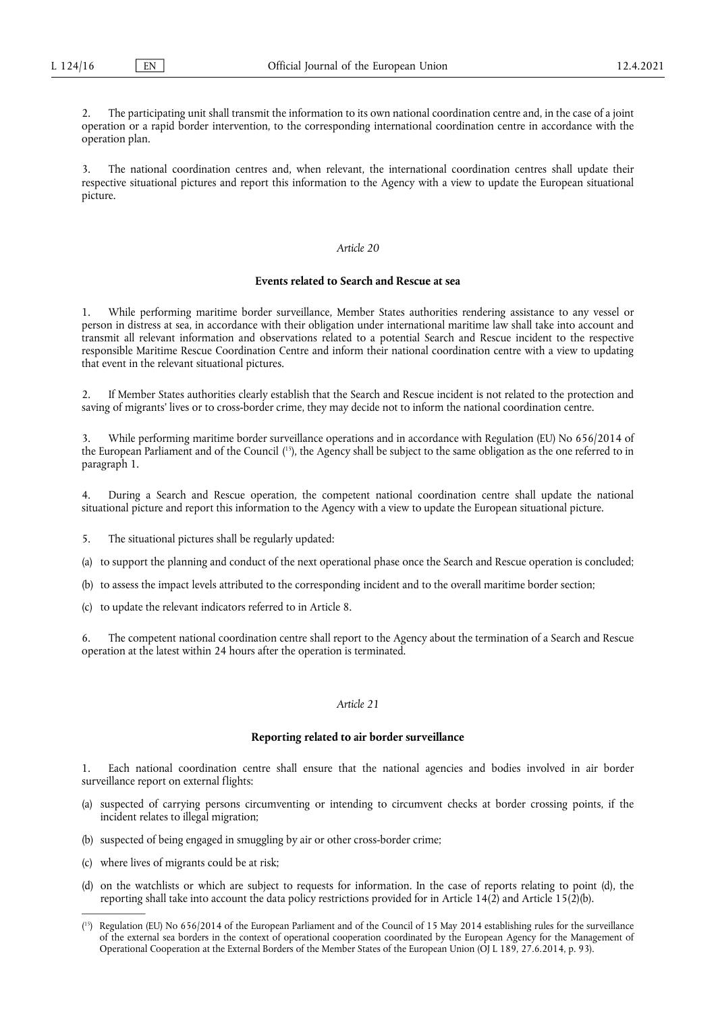The participating unit shall transmit the information to its own national coordination centre and, in the case of a joint operation or a rapid border intervention, to the corresponding international coordination centre in accordance with the operation plan.

3. The national coordination centres and, when relevant, the international coordination centres shall update their respective situational pictures and report this information to the Agency with a view to update the European situational picture.

## *Article 20*

#### **Events related to Search and Rescue at sea**

1. While performing maritime border surveillance, Member States authorities rendering assistance to any vessel or person in distress at sea, in accordance with their obligation under international maritime law shall take into account and transmit all relevant information and observations related to a potential Search and Rescue incident to the respective responsible Maritime Rescue Coordination Centre and inform their national coordination centre with a view to updating that event in the relevant situational pictures.

2. If Member States authorities clearly establish that the Search and Rescue incident is not related to the protection and saving of migrants' lives or to cross-border crime, they may decide not to inform the national coordination centre.

<span id="page-13-1"></span>3. While performing maritime border surveillance operations and in accordance with Regulation (EU) No 656/2014 of the European Parliament and of the Council ( [15\),](#page-13-0) the Agency shall be subject to the same obligation as the one referred to in paragraph 1.

4. During a Search and Rescue operation, the competent national coordination centre shall update the national situational picture and report this information to the Agency with a view to update the European situational picture.

5. The situational pictures shall be regularly updated:

(a) to support the planning and conduct of the next operational phase once the Search and Rescue operation is concluded;

(b) to assess the impact levels attributed to the corresponding incident and to the overall maritime border section;

(c) to update the relevant indicators referred to in Article 8.

The competent national coordination centre shall report to the Agency about the termination of a Search and Rescue operation at the latest within 24 hours after the operation is terminated.

## *Article 21*

#### **Reporting related to air border surveillance**

1. Each national coordination centre shall ensure that the national agencies and bodies involved in air border surveillance report on external flights:

- (a) suspected of carrying persons circumventing or intending to circumvent checks at border crossing points, if the incident relates to illegal migration;
- (b) suspected of being engaged in smuggling by air or other cross-border crime;
- (c) where lives of migrants could be at risk;
- (d) on the watchlists or which are subject to requests for information. In the case of reports relating to point (d), the reporting shall take into account the data policy restrictions provided for in Article 14(2) and Article 15(2)(b).

<span id="page-13-0"></span><sup>(</sup> [15\)](#page-13-1) Regulation (EU) No 656/2014 of the European Parliament and of the Council of 15 May 2014 establishing rules for the surveillance of the external sea borders in the context of operational cooperation coordinated by the European Agency for the Management of Operational Cooperation at the External Borders of the Member States of the European Union (OJ L 189, 27.6.2014, p. 93).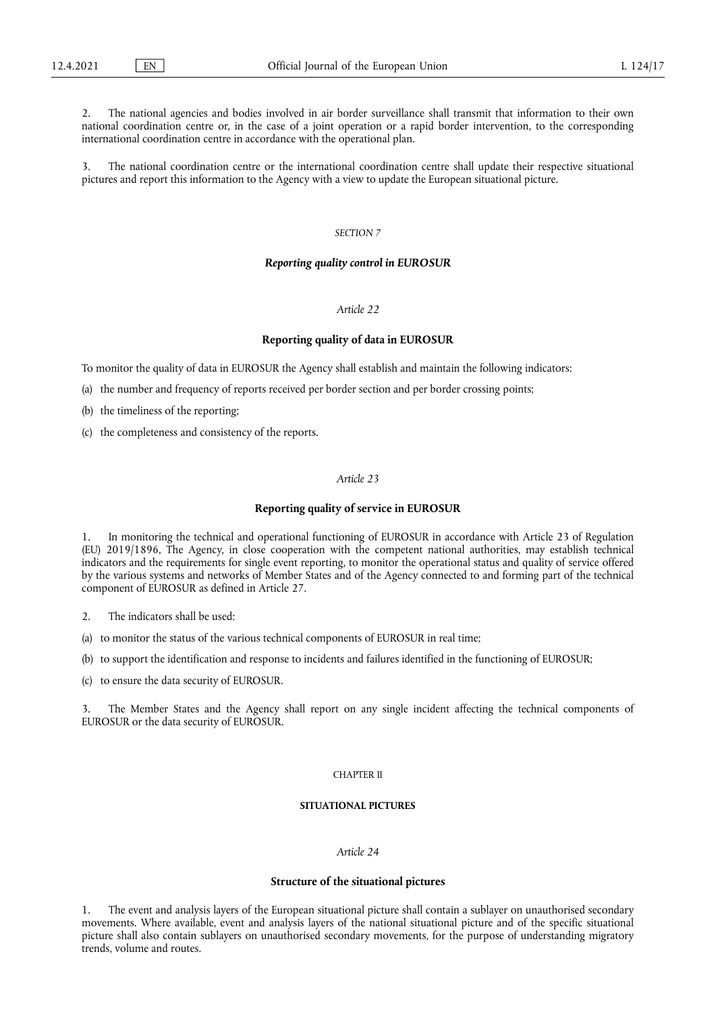2. The national agencies and bodies involved in air border surveillance shall transmit that information to their own national coordination centre or, in the case of a joint operation or a rapid border intervention, to the corresponding international coordination centre in accordance with the operational plan.

3. The national coordination centre or the international coordination centre shall update their respective situational pictures and report this information to the Agency with a view to update the European situational picture.

#### *SECTION 7*

#### *Reporting quality control in EUROSUR*

# *Article 22*

#### **Reporting quality of data in EUROSUR**

To monitor the quality of data in EUROSUR the Agency shall establish and maintain the following indicators:

(a) the number and frequency of reports received per border section and per border crossing points;

(b) the timeliness of the reporting;

(c) the completeness and consistency of the reports.

## *Article 23*

#### **Reporting quality of service in EUROSUR**

1. In monitoring the technical and operational functioning of EUROSUR in accordance with Article 23 of Regulation (EU) 2019/1896, The Agency, in close cooperation with the competent national authorities, may establish technical indicators and the requirements for single event reporting, to monitor the operational status and quality of service offered by the various systems and networks of Member States and of the Agency connected to and forming part of the technical component of EUROSUR as defined in Article 27.

2. The indicators shall be used:

(a) to monitor the status of the various technical components of EUROSUR in real time;

(b) to support the identification and response to incidents and failures identified in the functioning of EUROSUR;

(c) to ensure the data security of EUROSUR.

3. The Member States and the Agency shall report on any single incident affecting the technical components of EUROSUR or the data security of EUROSUR.

#### CHAPTER II

#### **SITUATIONAL PICTURES**

## *Article 24*

#### **Structure of the situational pictures**

1. The event and analysis layers of the European situational picture shall contain a sublayer on unauthorised secondary movements. Where available, event and analysis layers of the national situational picture and of the specific situational picture shall also contain sublayers on unauthorised secondary movements, for the purpose of understanding migratory trends, volume and routes.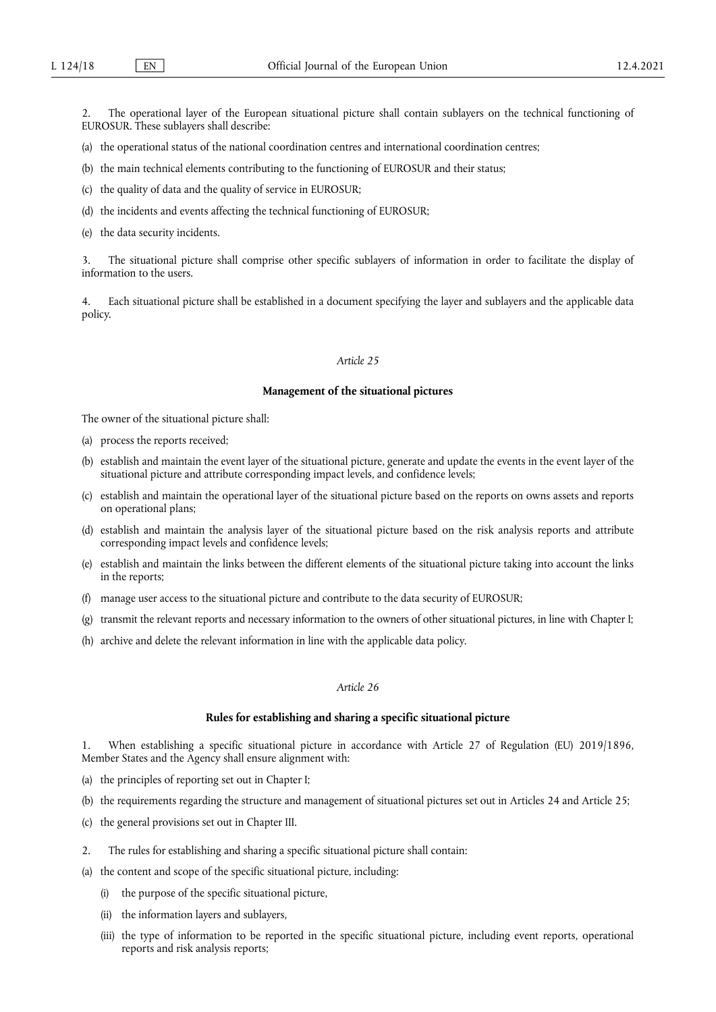2. The operational layer of the European situational picture shall contain sublayers on the technical functioning of EUROSUR. These sublayers shall describe:

- (a) the operational status of the national coordination centres and international coordination centres;
- (b) the main technical elements contributing to the functioning of EUROSUR and their status;
- (c) the quality of data and the quality of service in EUROSUR;
- (d) the incidents and events affecting the technical functioning of EUROSUR;
- (e) the data security incidents.

3. The situational picture shall comprise other specific sublayers of information in order to facilitate the display of information to the users.

4. Each situational picture shall be established in a document specifying the layer and sublayers and the applicable data policy.

# *Article 25*

#### **Management of the situational pictures**

The owner of the situational picture shall:

- (a) process the reports received;
- (b) establish and maintain the event layer of the situational picture, generate and update the events in the event layer of the situational picture and attribute corresponding impact levels, and confidence levels;
- (c) establish and maintain the operational layer of the situational picture based on the reports on owns assets and reports on operational plans;
- (d) establish and maintain the analysis layer of the situational picture based on the risk analysis reports and attribute corresponding impact levels and confidence levels;
- (e) establish and maintain the links between the different elements of the situational picture taking into account the links in the reports;
- (f) manage user access to the situational picture and contribute to the data security of EUROSUR;
- (g) transmit the relevant reports and necessary information to the owners of other situational pictures, in line with Chapter I;
- (h) archive and delete the relevant information in line with the applicable data policy.

## *Article 26*

#### **Rules for establishing and sharing a specific situational picture**

1. When establishing a specific situational picture in accordance with Article 27 of Regulation (EU) 2019/1896, Member States and the Agency shall ensure alignment with:

- (a) the principles of reporting set out in Chapter I;
- (b) the requirements regarding the structure and management of situational pictures set out in Articles 24 and Article 25;
- (c) the general provisions set out in Chapter III.
- 2. The rules for establishing and sharing a specific situational picture shall contain:
- (a) the content and scope of the specific situational picture, including:
	- (i) the purpose of the specific situational picture,
	- (ii) the information layers and sublayers,
	- (iii) the type of information to be reported in the specific situational picture, including event reports, operational reports and risk analysis reports;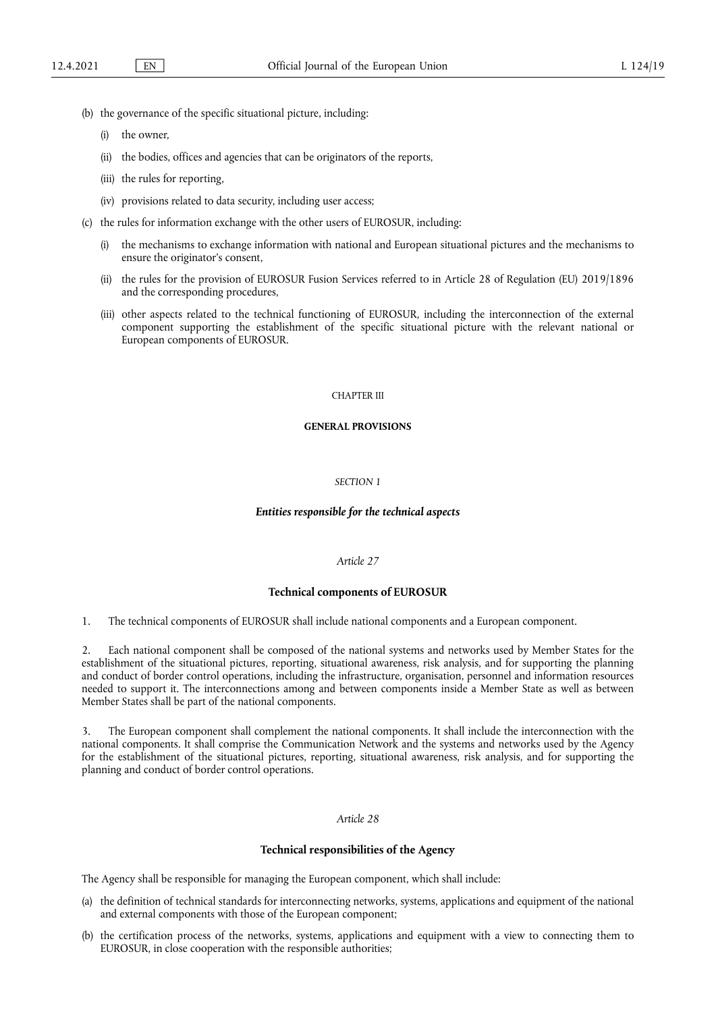- (b) the governance of the specific situational picture, including:
	- (i) the owner,
	- (ii) the bodies, offices and agencies that can be originators of the reports,
	- (iii) the rules for reporting,
	- (iv) provisions related to data security, including user access;
- (c) the rules for information exchange with the other users of EUROSUR, including:
	- (i) the mechanisms to exchange information with national and European situational pictures and the mechanisms to ensure the originator's consent,
	- (ii) the rules for the provision of EUROSUR Fusion Services referred to in Article 28 of Regulation (EU) 2019/1896 and the corresponding procedures,
	- (iii) other aspects related to the technical functioning of EUROSUR, including the interconnection of the external component supporting the establishment of the specific situational picture with the relevant national or European components of EUROSUR.

#### CHAPTER III

# **GENERAL PROVISIONS**

#### *SECTION 1*

## *Entities responsible for the technical aspects*

# *Article 27*

#### **Technical components of EUROSUR**

1. The technical components of EUROSUR shall include national components and a European component.

Each national component shall be composed of the national systems and networks used by Member States for the establishment of the situational pictures, reporting, situational awareness, risk analysis, and for supporting the planning and conduct of border control operations, including the infrastructure, organisation, personnel and information resources needed to support it. The interconnections among and between components inside a Member State as well as between Member States shall be part of the national components.

3. The European component shall complement the national components. It shall include the interconnection with the national components. It shall comprise the Communication Network and the systems and networks used by the Agency for the establishment of the situational pictures, reporting, situational awareness, risk analysis, and for supporting the planning and conduct of border control operations.

## *Article 28*

### **Technical responsibilities of the Agency**

The Agency shall be responsible for managing the European component, which shall include:

- (a) the definition of technical standards for interconnecting networks, systems, applications and equipment of the national and external components with those of the European component;
- (b) the certification process of the networks, systems, applications and equipment with a view to connecting them to EUROSUR, in close cooperation with the responsible authorities;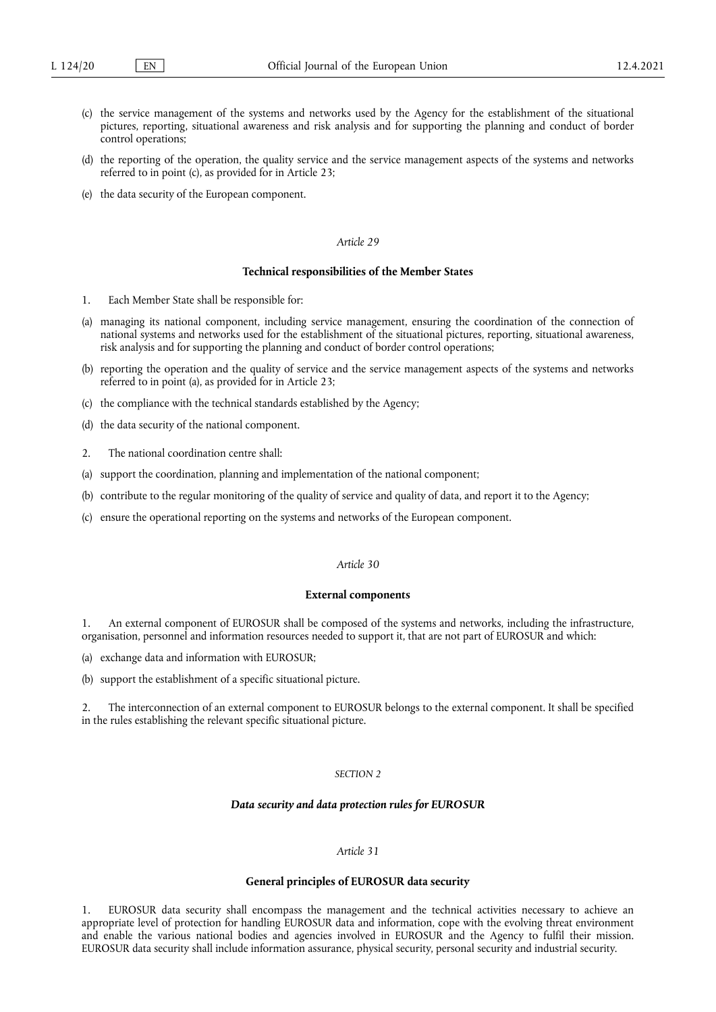- (c) the service management of the systems and networks used by the Agency for the establishment of the situational pictures, reporting, situational awareness and risk analysis and for supporting the planning and conduct of border control operations;
- (d) the reporting of the operation, the quality service and the service management aspects of the systems and networks referred to in point (c), as provided for in Article 23;
- (e) the data security of the European component.

#### **Technical responsibilities of the Member States**

- 1. Each Member State shall be responsible for:
- (a) managing its national component, including service management, ensuring the coordination of the connection of national systems and networks used for the establishment of the situational pictures, reporting, situational awareness, risk analysis and for supporting the planning and conduct of border control operations;
- (b) reporting the operation and the quality of service and the service management aspects of the systems and networks referred to in point (a), as provided for in Article 23;
- (c) the compliance with the technical standards established by the Agency;
- (d) the data security of the national component.
- 2. The national coordination centre shall:
- (a) support the coordination, planning and implementation of the national component;
- (b) contribute to the regular monitoring of the quality of service and quality of data, and report it to the Agency;
- (c) ensure the operational reporting on the systems and networks of the European component.

## *Article 30*

#### **External components**

1. An external component of EUROSUR shall be composed of the systems and networks, including the infrastructure, organisation, personnel and information resources needed to support it, that are not part of EUROSUR and which:

(a) exchange data and information with EUROSUR;

(b) support the establishment of a specific situational picture.

2. The interconnection of an external component to EUROSUR belongs to the external component. It shall be specified in the rules establishing the relevant specific situational picture.

## *SECTION 2*

## *Data security and data protection rules for EUROSUR*

# *Article 31*

#### **General principles of EUROSUR data security**

1. EUROSUR data security shall encompass the management and the technical activities necessary to achieve an appropriate level of protection for handling EUROSUR data and information, cope with the evolving threat environment and enable the various national bodies and agencies involved in EUROSUR and the Agency to fulfil their mission. EUROSUR data security shall include information assurance, physical security, personal security and industrial security.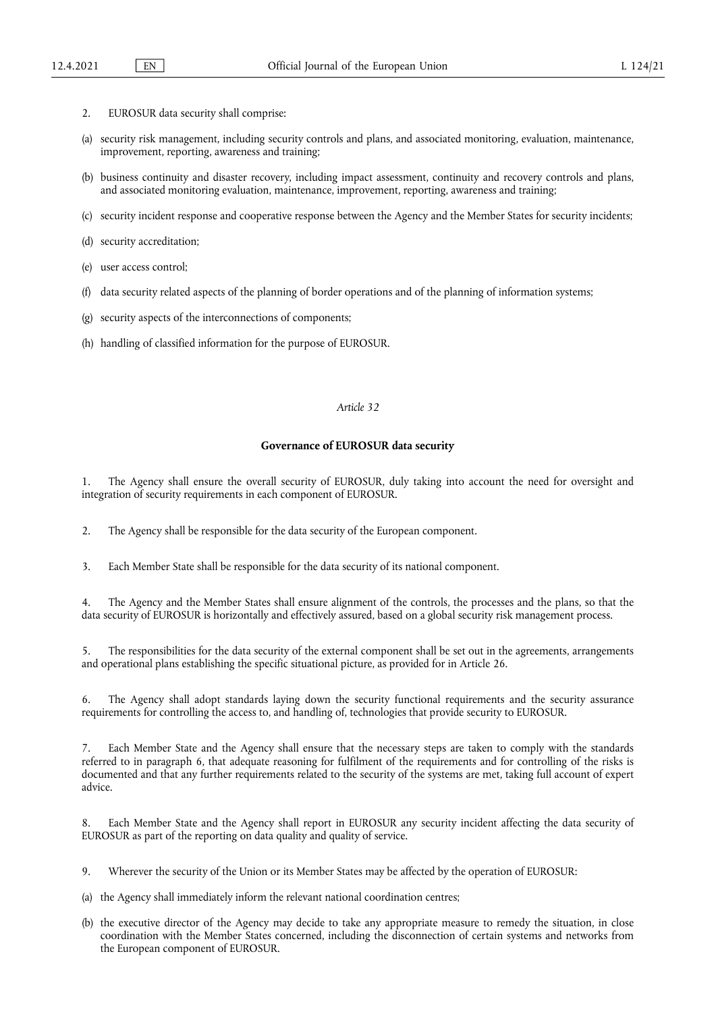- 2. EUROSUR data security shall comprise:
- (a) security risk management, including security controls and plans, and associated monitoring, evaluation, maintenance, improvement, reporting, awareness and training;
- (b) business continuity and disaster recovery, including impact assessment, continuity and recovery controls and plans, and associated monitoring evaluation, maintenance, improvement, reporting, awareness and training;
- (c) security incident response and cooperative response between the Agency and the Member States for security incidents;
- (d) security accreditation;
- (e) user access control;
- (f) data security related aspects of the planning of border operations and of the planning of information systems;
- (g) security aspects of the interconnections of components;
- (h) handling of classified information for the purpose of EUROSUR.

#### **Governance of EUROSUR data security**

1. The Agency shall ensure the overall security of EUROSUR, duly taking into account the need for oversight and integration of security requirements in each component of EUROSUR.

2. The Agency shall be responsible for the data security of the European component.

3. Each Member State shall be responsible for the data security of its national component.

4. The Agency and the Member States shall ensure alignment of the controls, the processes and the plans, so that the data security of EUROSUR is horizontally and effectively assured, based on a global security risk management process.

5. The responsibilities for the data security of the external component shall be set out in the agreements, arrangements and operational plans establishing the specific situational picture, as provided for in Article 26.

The Agency shall adopt standards laying down the security functional requirements and the security assurance requirements for controlling the access to, and handling of, technologies that provide security to EUROSUR.

Each Member State and the Agency shall ensure that the necessary steps are taken to comply with the standards referred to in paragraph 6, that adequate reasoning for fulfilment of the requirements and for controlling of the risks is documented and that any further requirements related to the security of the systems are met, taking full account of expert advice.

Each Member State and the Agency shall report in EUROSUR any security incident affecting the data security of EUROSUR as part of the reporting on data quality and quality of service.

9. Wherever the security of the Union or its Member States may be affected by the operation of EUROSUR:

- (a) the Agency shall immediately inform the relevant national coordination centres;
- (b) the executive director of the Agency may decide to take any appropriate measure to remedy the situation, in close coordination with the Member States concerned, including the disconnection of certain systems and networks from the European component of EUROSUR.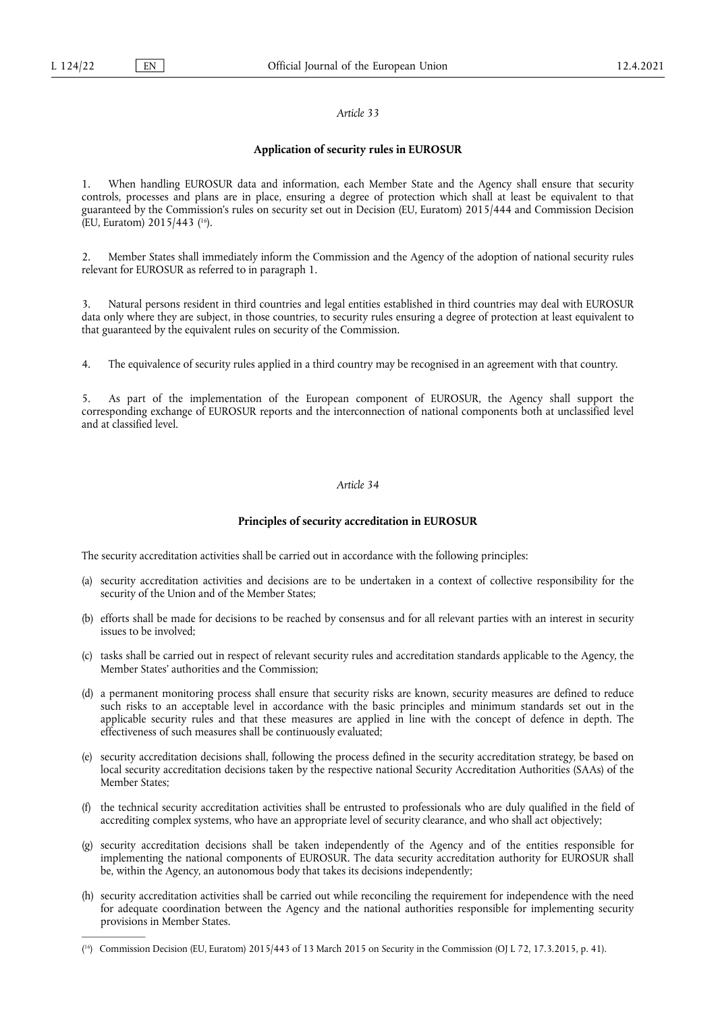## **Application of security rules in EUROSUR**

<span id="page-19-1"></span>1. When handling EUROSUR data and information, each Member State and the Agency shall ensure that security controls, processes and plans are in place, ensuring a degree of protection which shall at least be equivalent to that guaranteed by the Commission's rules on security set out in Decision (EU, Euratom) 2015/444 and Commission Decision (EU, Euratom) 2015/443 ( [16\).](#page-19-0)

2. Member States shall immediately inform the Commission and the Agency of the adoption of national security rules relevant for EUROSUR as referred to in paragraph 1.

3. Natural persons resident in third countries and legal entities established in third countries may deal with EUROSUR data only where they are subject, in those countries, to security rules ensuring a degree of protection at least equivalent to that guaranteed by the equivalent rules on security of the Commission.

4. The equivalence of security rules applied in a third country may be recognised in an agreement with that country.

5. As part of the implementation of the European component of EUROSUR, the Agency shall support the corresponding exchange of EUROSUR reports and the interconnection of national components both at unclassified level and at classified level.

# *Article 34*

## **Principles of security accreditation in EUROSUR**

The security accreditation activities shall be carried out in accordance with the following principles:

- (a) security accreditation activities and decisions are to be undertaken in a context of collective responsibility for the security of the Union and of the Member States;
- (b) efforts shall be made for decisions to be reached by consensus and for all relevant parties with an interest in security issues to be involved;
- (c) tasks shall be carried out in respect of relevant security rules and accreditation standards applicable to the Agency, the Member States' authorities and the Commission:
- (d) a permanent monitoring process shall ensure that security risks are known, security measures are defined to reduce such risks to an acceptable level in accordance with the basic principles and minimum standards set out in the applicable security rules and that these measures are applied in line with the concept of defence in depth. The effectiveness of such measures shall be continuously evaluated;
- (e) security accreditation decisions shall, following the process defined in the security accreditation strategy, be based on local security accreditation decisions taken by the respective national Security Accreditation Authorities (SAAs) of the Member States;
- (f) the technical security accreditation activities shall be entrusted to professionals who are duly qualified in the field of accrediting complex systems, who have an appropriate level of security clearance, and who shall act objectively;
- (g) security accreditation decisions shall be taken independently of the Agency and of the entities responsible for implementing the national components of EUROSUR. The data security accreditation authority for EUROSUR shall be, within the Agency, an autonomous body that takes its decisions independently;
- (h) security accreditation activities shall be carried out while reconciling the requirement for independence with the need for adequate coordination between the Agency and the national authorities responsible for implementing security provisions in Member States.

<span id="page-19-0"></span><sup>(</sup> [16\)](#page-19-1) Commission Decision (EU, Euratom) 2015/443 of 13 March 2015 on Security in the Commission (OJ L 72, 17.3.2015, p. 41).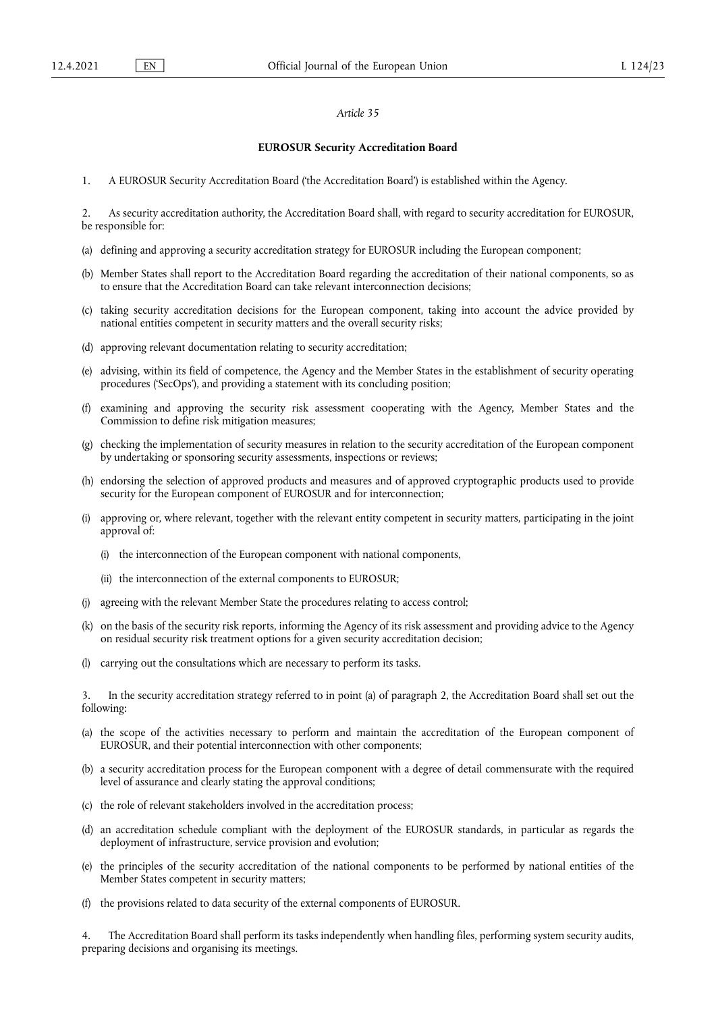#### **EUROSUR Security Accreditation Board**

1. A EUROSUR Security Accreditation Board ('the Accreditation Board') is established within the Agency.

2. As security accreditation authority, the Accreditation Board shall, with regard to security accreditation for EUROSUR, be responsible for:

- (a) defining and approving a security accreditation strategy for EUROSUR including the European component;
- (b) Member States shall report to the Accreditation Board regarding the accreditation of their national components, so as to ensure that the Accreditation Board can take relevant interconnection decisions;
- (c) taking security accreditation decisions for the European component, taking into account the advice provided by national entities competent in security matters and the overall security risks;
- (d) approving relevant documentation relating to security accreditation;
- (e) advising, within its field of competence, the Agency and the Member States in the establishment of security operating procedures ('SecOps'), and providing a statement with its concluding position;
- (f) examining and approving the security risk assessment cooperating with the Agency, Member States and the Commission to define risk mitigation measures;
- (g) checking the implementation of security measures in relation to the security accreditation of the European component by undertaking or sponsoring security assessments, inspections or reviews;
- (h) endorsing the selection of approved products and measures and of approved cryptographic products used to provide security for the European component of EUROSUR and for interconnection;
- (i) approving or, where relevant, together with the relevant entity competent in security matters, participating in the joint approval of:
	- (i) the interconnection of the European component with national components,
	- (ii) the interconnection of the external components to EUROSUR;
- (j) agreeing with the relevant Member State the procedures relating to access control;
- (k) on the basis of the security risk reports, informing the Agency of its risk assessment and providing advice to the Agency on residual security risk treatment options for a given security accreditation decision;
- (l) carrying out the consultations which are necessary to perform its tasks.

3. In the security accreditation strategy referred to in point (a) of paragraph 2, the Accreditation Board shall set out the following:

- (a) the scope of the activities necessary to perform and maintain the accreditation of the European component of EUROSUR, and their potential interconnection with other components;
- (b) a security accreditation process for the European component with a degree of detail commensurate with the required level of assurance and clearly stating the approval conditions;
- (c) the role of relevant stakeholders involved in the accreditation process;
- (d) an accreditation schedule compliant with the deployment of the EUROSUR standards, in particular as regards the deployment of infrastructure, service provision and evolution;
- (e) the principles of the security accreditation of the national components to be performed by national entities of the Member States competent in security matters;
- (f) the provisions related to data security of the external components of EUROSUR.

4. The Accreditation Board shall perform its tasks independently when handling files, performing system security audits, preparing decisions and organising its meetings.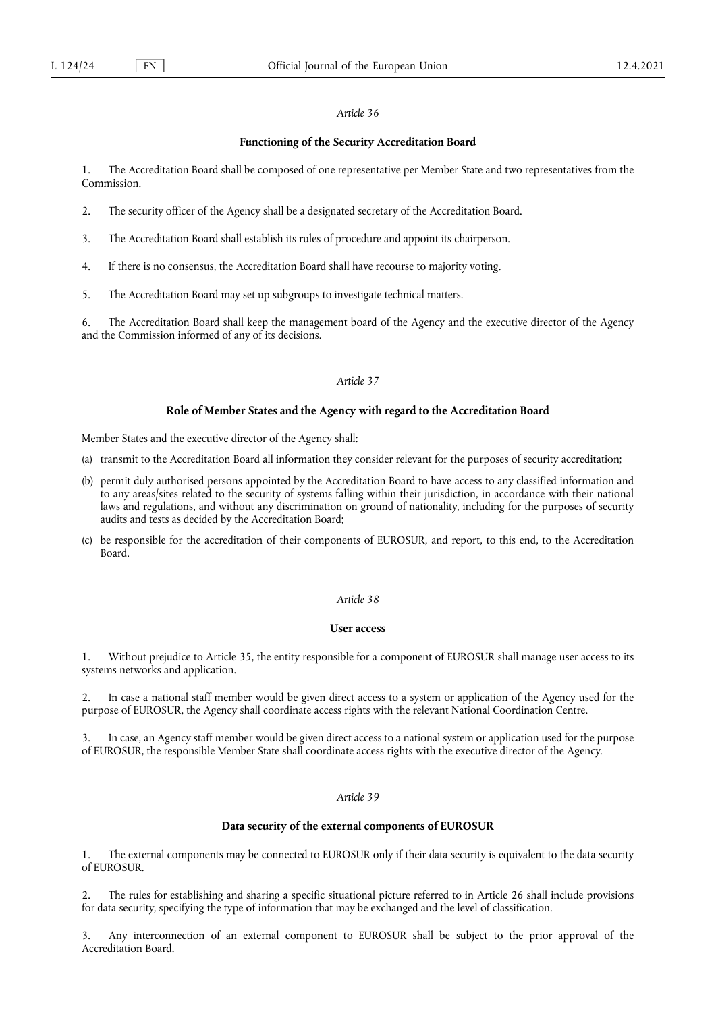#### **Functioning of the Security Accreditation Board**

1. The Accreditation Board shall be composed of one representative per Member State and two representatives from the Commission.

- 2. The security officer of the Agency shall be a designated secretary of the Accreditation Board.
- 3. The Accreditation Board shall establish its rules of procedure and appoint its chairperson.
- 4. If there is no consensus, the Accreditation Board shall have recourse to majority voting.
- 5. The Accreditation Board may set up subgroups to investigate technical matters.

6. The Accreditation Board shall keep the management board of the Agency and the executive director of the Agency and the Commission informed of any of its decisions.

## *Article 37*

#### **Role of Member States and the Agency with regard to the Accreditation Board**

Member States and the executive director of the Agency shall:

- (a) transmit to the Accreditation Board all information they consider relevant for the purposes of security accreditation;
- (b) permit duly authorised persons appointed by the Accreditation Board to have access to any classified information and to any areas/sites related to the security of systems falling within their jurisdiction, in accordance with their national laws and regulations, and without any discrimination on ground of nationality, including for the purposes of security audits and tests as decided by the Accreditation Board;
- (c) be responsible for the accreditation of their components of EUROSUR, and report, to this end, to the Accreditation Board.

# *Article 38*

#### **User access**

1. Without prejudice to Article 35, the entity responsible for a component of EUROSUR shall manage user access to its systems networks and application.

2. In case a national staff member would be given direct access to a system or application of the Agency used for the purpose of EUROSUR, the Agency shall coordinate access rights with the relevant National Coordination Centre.

3. In case, an Agency staff member would be given direct access to a national system or application used for the purpose of EUROSUR, the responsible Member State shall coordinate access rights with the executive director of the Agency.

## *Article 39*

# **Data security of the external components of EUROSUR**

1. The external components may be connected to EUROSUR only if their data security is equivalent to the data security of EUROSUR.

2. The rules for establishing and sharing a specific situational picture referred to in Article 26 shall include provisions for data security, specifying the type of information that may be exchanged and the level of classification.

Any interconnection of an external component to EUROSUR shall be subject to the prior approval of the Accreditation Board.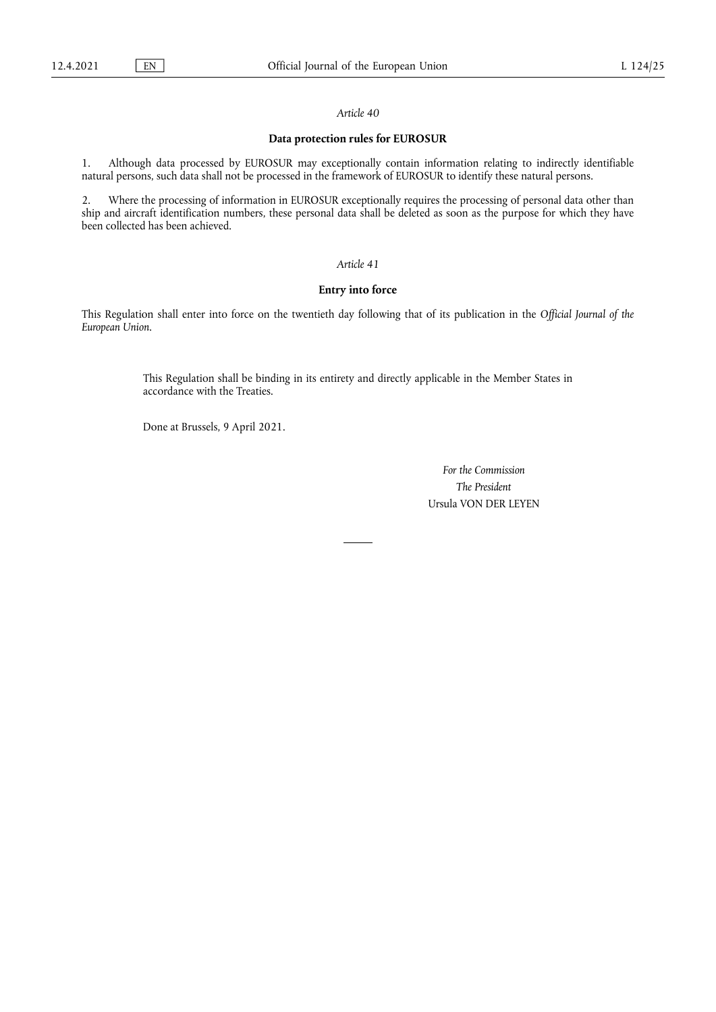# **Data protection rules for EUROSUR**

1. Although data processed by EUROSUR may exceptionally contain information relating to indirectly identifiable natural persons, such data shall not be processed in the framework of EUROSUR to identify these natural persons.

2. Where the processing of information in EUROSUR exceptionally requires the processing of personal data other than ship and aircraft identification numbers, these personal data shall be deleted as soon as the purpose for which they have been collected has been achieved.

## *Article 41*

# **Entry into force**

This Regulation shall enter into force on the twentieth day following that of its publication in the *Official Journal of the European Union*.

> This Regulation shall be binding in its entirety and directly applicable in the Member States in accordance with the Treaties.

Done at Brussels, 9 April 2021.

*For the Commission The President* Ursula VON DER LEYEN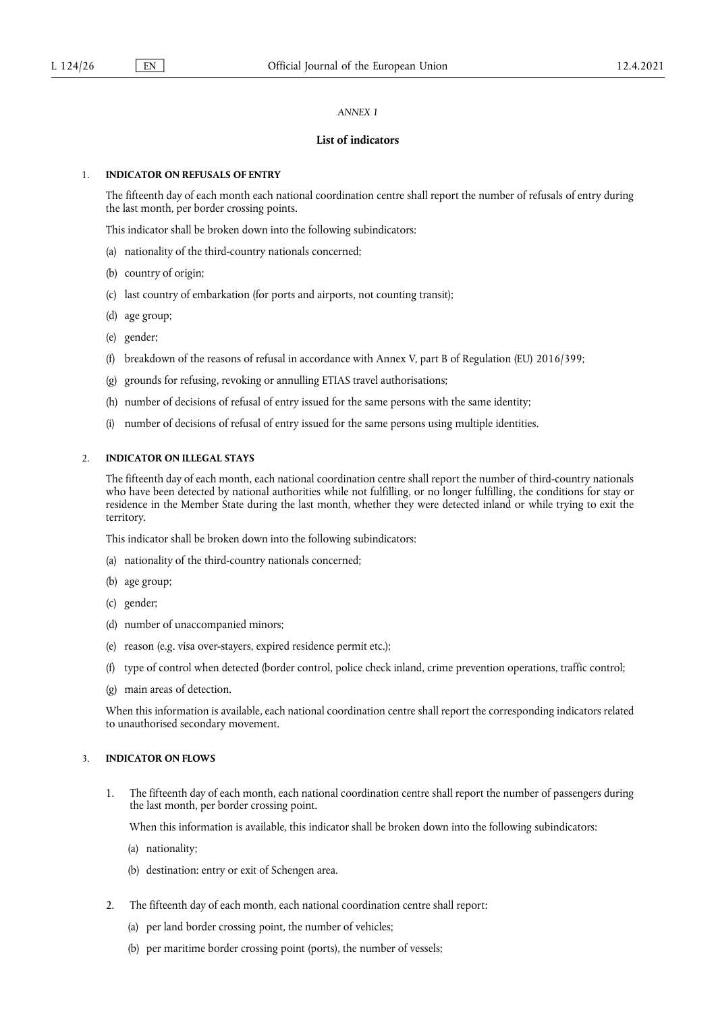## *ANNEX 1*

# **List of indicators**

## 1. **INDICATOR ON REFUSALS OF ENTRY**

The fifteenth day of each month each national coordination centre shall report the number of refusals of entry during the last month, per border crossing points.

This indicator shall be broken down into the following subindicators:

- (a) nationality of the third-country nationals concerned;
- (b) country of origin;
- (c) last country of embarkation (for ports and airports, not counting transit);
- (d) age group;
- (e) gender;
- (f) breakdown of the reasons of refusal in accordance with Annex V, part B of Regulation (EU) 2016/399;
- (g) grounds for refusing, revoking or annulling ETIAS travel authorisations;
- (h) number of decisions of refusal of entry issued for the same persons with the same identity;
- (i) number of decisions of refusal of entry issued for the same persons using multiple identities.

### 2. **INDICATOR ON ILLEGAL STAYS**

The fifteenth day of each month, each national coordination centre shall report the number of third-country nationals who have been detected by national authorities while not fulfilling, or no longer fulfilling, the conditions for stay or residence in the Member State during the last month, whether they were detected inland or while trying to exit the territory.

This indicator shall be broken down into the following subindicators:

- (a) nationality of the third-country nationals concerned;
- (b) age group;
- (c) gender;
- (d) number of unaccompanied minors;
- (e) reason (e.g. visa over-stayers, expired residence permit etc.);
- (f) type of control when detected (border control, police check inland, crime prevention operations, traffic control;
- (g) main areas of detection.

When this information is available, each national coordination centre shall report the corresponding indicators related to unauthorised secondary movement.

# 3. **INDICATOR ON FLOWS**

1. The fifteenth day of each month, each national coordination centre shall report the number of passengers during the last month, per border crossing point.

When this information is available, this indicator shall be broken down into the following subindicators:

- (a) nationality;
- (b) destination: entry or exit of Schengen area.
- 2. The fifteenth day of each month, each national coordination centre shall report:
	- (a) per land border crossing point, the number of vehicles;
	- (b) per maritime border crossing point (ports), the number of vessels;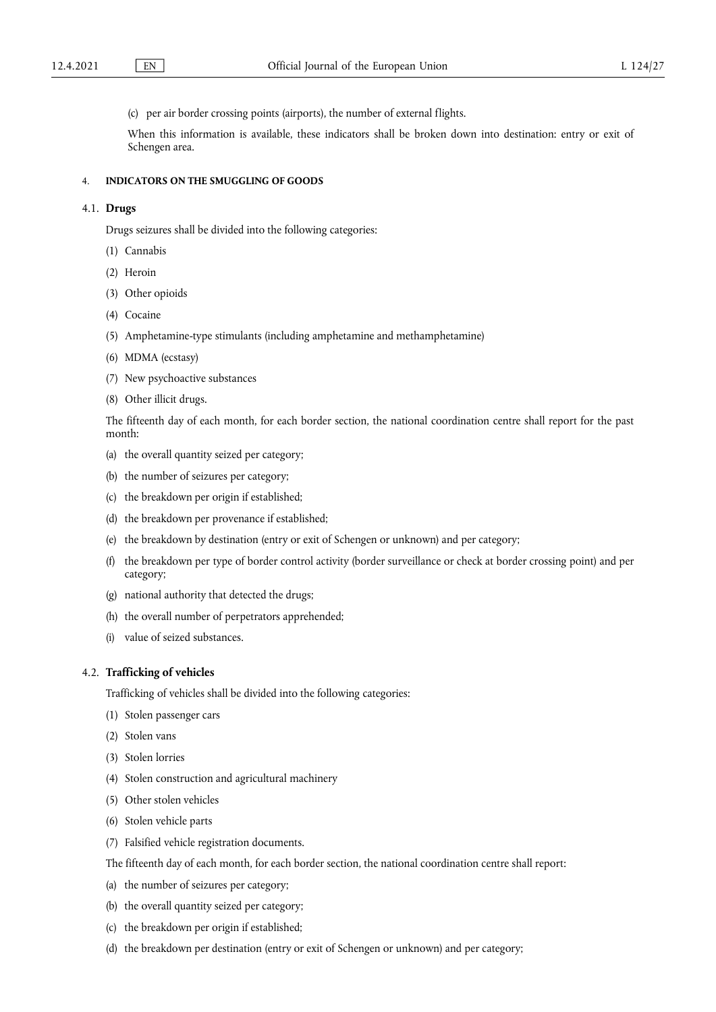(c) per air border crossing points (airports), the number of external flights.

When this information is available, these indicators shall be broken down into destination: entry or exit of Schengen area.

## 4. **INDICATORS ON THE SMUGGLING OF GOODS**

# 4.1. **Drugs**

Drugs seizures shall be divided into the following categories:

- (1) Cannabis
- (2) Heroin
- (3) Other opioids
- (4) Cocaine
- (5) Amphetamine-type stimulants (including amphetamine and methamphetamine)
- (6) MDMA (ecstasy)
- (7) New psychoactive substances
- (8) Other illicit drugs.

The fifteenth day of each month, for each border section, the national coordination centre shall report for the past month:

- (a) the overall quantity seized per category;
- (b) the number of seizures per category;
- (c) the breakdown per origin if established;
- (d) the breakdown per provenance if established;
- (e) the breakdown by destination (entry or exit of Schengen or unknown) and per category;
- (f) the breakdown per type of border control activity (border surveillance or check at border crossing point) and per category;
- (g) national authority that detected the drugs;
- (h) the overall number of perpetrators apprehended;
- (i) value of seized substances.

# 4.2. **Trafficking of vehicles**

Trafficking of vehicles shall be divided into the following categories:

- (1) Stolen passenger cars
- (2) Stolen vans
- (3) Stolen lorries
- (4) Stolen construction and agricultural machinery
- (5) Other stolen vehicles
- (6) Stolen vehicle parts
- (7) Falsified vehicle registration documents.
- The fifteenth day of each month, for each border section, the national coordination centre shall report:
- (a) the number of seizures per category;
- (b) the overall quantity seized per category;
- (c) the breakdown per origin if established;
- (d) the breakdown per destination (entry or exit of Schengen or unknown) and per category;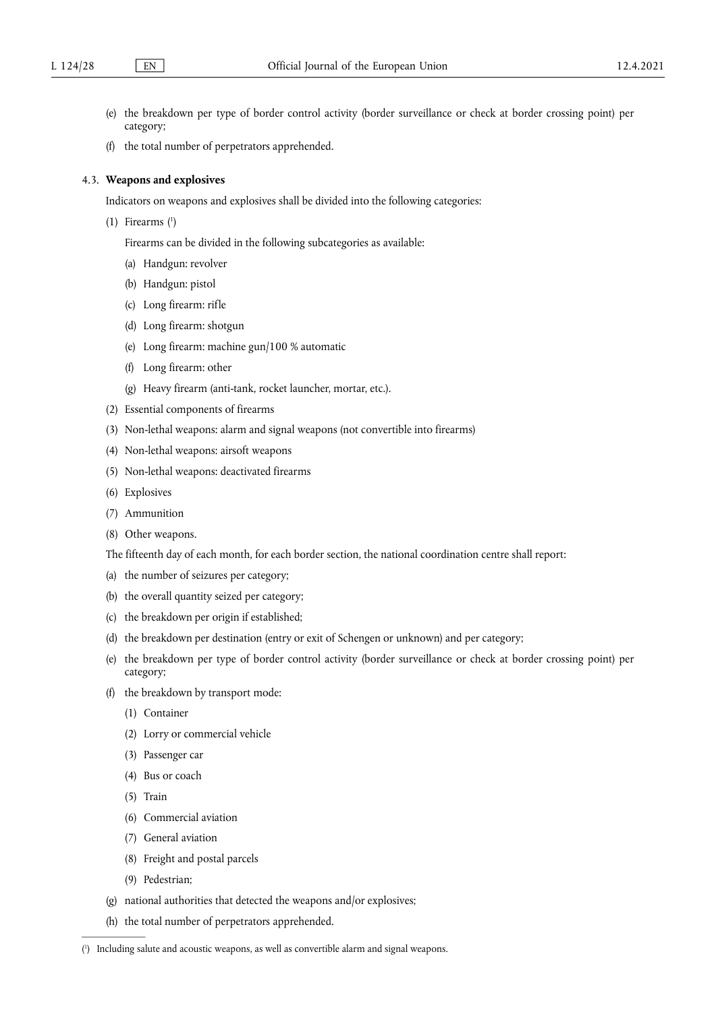- (e) the breakdown per type of border control activity (border surveillance or check at border crossing point) per category;
- (f) the total number of perpetrators apprehended.

#### 4.3. **Weapons and explosives**

Indicators on weapons and explosives shall be divided into the following categories:

<span id="page-25-1"></span>(1) Firearms [\(](#page-25-0) 1 )

Firearms can be divided in the following subcategories as available:

- (a) Handgun: revolver
- (b) Handgun: pistol
- (c) Long firearm: rifle
- (d) Long firearm: shotgun
- (e) Long firearm: machine gun/100 % automatic
- (f) Long firearm: other
- (g) Heavy firearm (anti-tank, rocket launcher, mortar, etc.).
- (2) Essential components of firearms
- (3) Non-lethal weapons: alarm and signal weapons (not convertible into firearms)
- (4) Non-lethal weapons: airsoft weapons
- (5) Non-lethal weapons: deactivated firearms
- (6) Explosives
- (7) Ammunition
- (8) Other weapons.

The fifteenth day of each month, for each border section, the national coordination centre shall report:

- (a) the number of seizures per category;
- (b) the overall quantity seized per category;
- (c) the breakdown per origin if established;
- (d) the breakdown per destination (entry or exit of Schengen or unknown) and per category;
- (e) the breakdown per type of border control activity (border surveillance or check at border crossing point) per category;
- (f) the breakdown by transport mode:
	- (1) Container
	- (2) Lorry or commercial vehicle
	- (3) Passenger car
	- (4) Bus or coach
	- (5) Train
	- (6) Commercial aviation
	- (7) General aviation
	- (8) Freight and postal parcels
	- (9) Pedestrian;
- (g) national authorities that detected the weapons and/or explosives;
- (h) the total number of perpetrators apprehended.

<span id="page-25-0"></span>[<sup>\(</sup>](#page-25-1) 1 ) Including salute and acoustic weapons, as well as convertible alarm and signal weapons.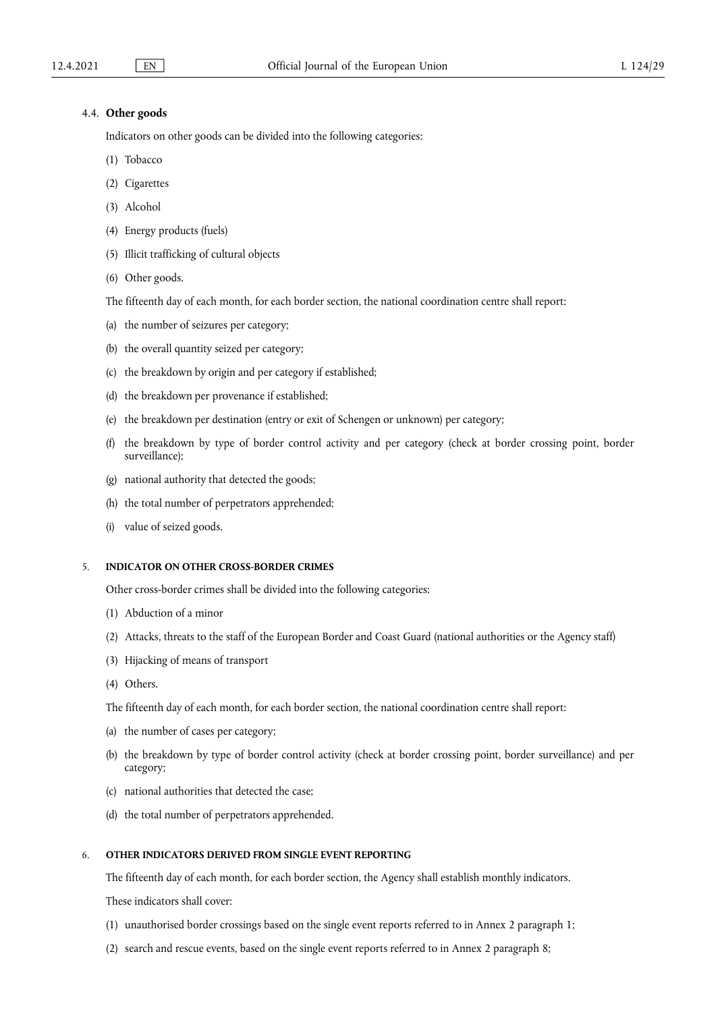# 4.4. **Other goods**

Indicators on other goods can be divided into the following categories:

- (1) Tobacco
- (2) Cigarettes
- (3) Alcohol
- (4) Energy products (fuels)
- (5) Illicit trafficking of cultural objects
- (6) Other goods.

The fifteenth day of each month, for each border section, the national coordination centre shall report:

- (a) the number of seizures per category;
- (b) the overall quantity seized per category;
- (c) the breakdown by origin and per category if established;
- (d) the breakdown per provenance if established;
- (e) the breakdown per destination (entry or exit of Schengen or unknown) per category;
- (f) the breakdown by type of border control activity and per category (check at border crossing point, border surveillance);
- (g) national authority that detected the goods;
- (h) the total number of perpetrators apprehended;
- (i) value of seized goods.

## 5. **INDICATOR ON OTHER CROSS-BORDER CRIMES**

Other cross-border crimes shall be divided into the following categories:

- (1) Abduction of a minor
- (2) Attacks, threats to the staff of the European Border and Coast Guard (national authorities or the Agency staff)
- (3) Hijacking of means of transport
- (4) Others.

The fifteenth day of each month, for each border section, the national coordination centre shall report:

- (a) the number of cases per category;
- (b) the breakdown by type of border control activity (check at border crossing point, border surveillance) and per category;
- (c) national authorities that detected the case;
- (d) the total number of perpetrators apprehended.

# 6. **OTHER INDICATORS DERIVED FROM SINGLE EVENT REPORTING**

The fifteenth day of each month, for each border section, the Agency shall establish monthly indicators.

These indicators shall cover:

- (1) unauthorised border crossings based on the single event reports referred to in Annex 2 paragraph 1;
- (2) search and rescue events, based on the single event reports referred to in Annex 2 paragraph 8;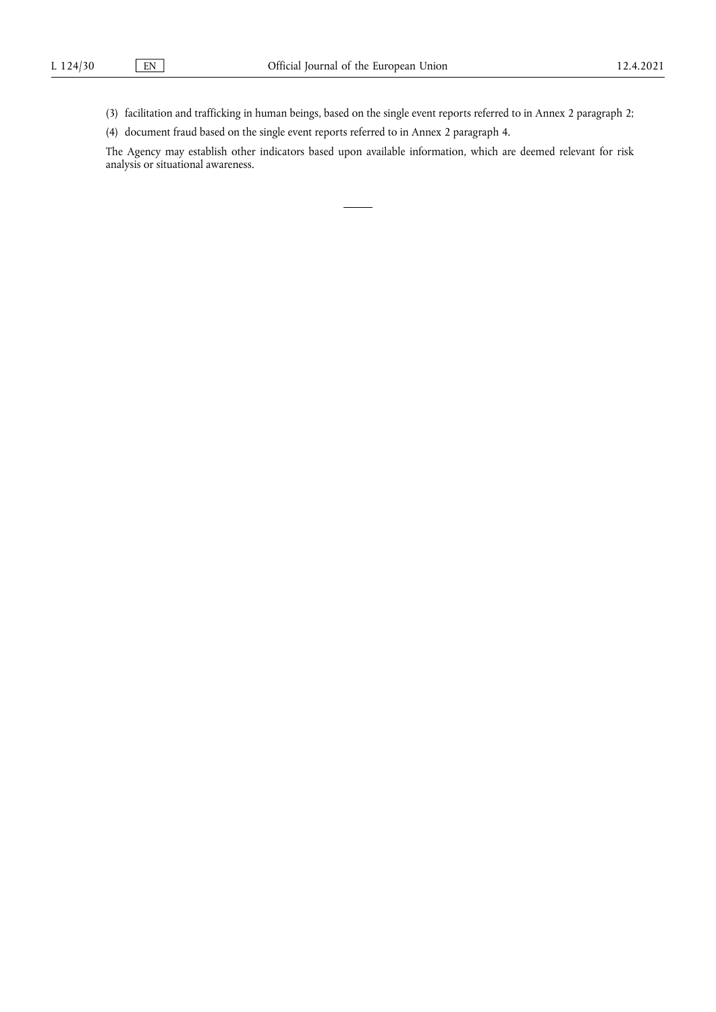(3) facilitation and trafficking in human beings, based on the single event reports referred to in Annex 2 paragraph 2;

(4) document fraud based on the single event reports referred to in Annex 2 paragraph 4.

The Agency may establish other indicators based upon available information, which are deemed relevant for risk analysis or situational awareness.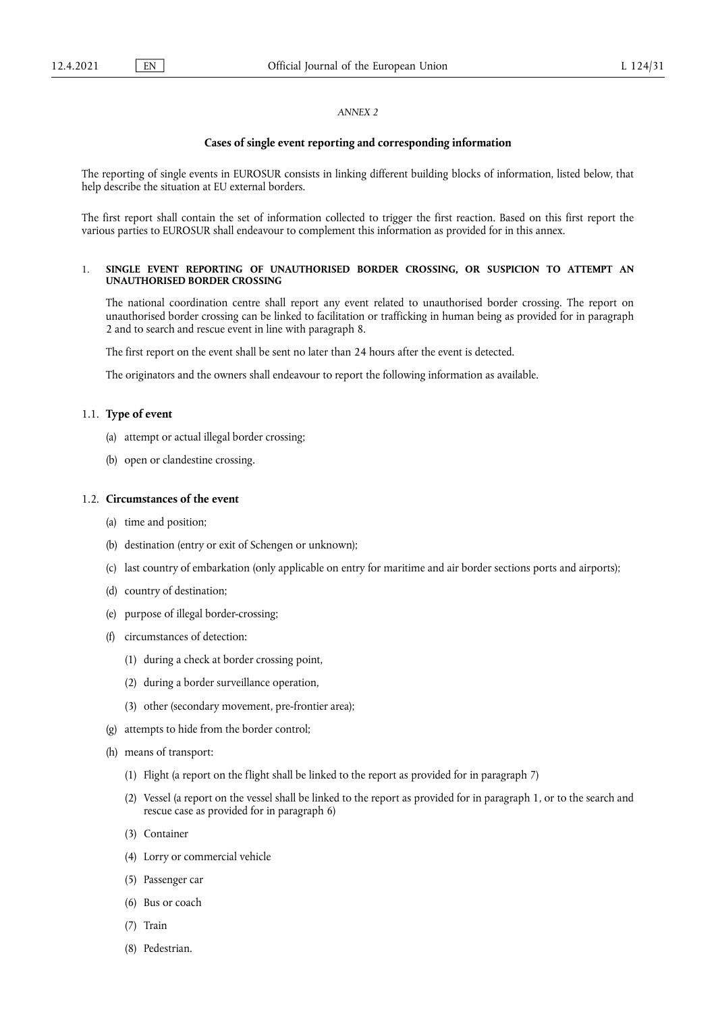## *ANNEX 2*

#### **Cases of single event reporting and corresponding information**

The reporting of single events in EUROSUR consists in linking different building blocks of information, listed below, that help describe the situation at EU external borders.

The first report shall contain the set of information collected to trigger the first reaction. Based on this first report the various parties to EUROSUR shall endeavour to complement this information as provided for in this annex.

#### 1. **SINGLE EVENT REPORTING OF UNAUTHORISED BORDER CROSSING, OR SUSPICION TO ATTEMPT AN UNAUTHORISED BORDER CROSSING**

The national coordination centre shall report any event related to unauthorised border crossing. The report on unauthorised border crossing can be linked to facilitation or trafficking in human being as provided for in paragraph 2 and to search and rescue event in line with paragraph 8.

The first report on the event shall be sent no later than 24 hours after the event is detected.

The originators and the owners shall endeavour to report the following information as available.

## 1.1. **Type of event**

- (a) attempt or actual illegal border crossing;
- (b) open or clandestine crossing.

#### 1.2. **Circumstances of the event**

- (a) time and position;
- (b) destination (entry or exit of Schengen or unknown);
- (c) last country of embarkation (only applicable on entry for maritime and air border sections ports and airports);
- (d) country of destination;
- (e) purpose of illegal border-crossing;
- (f) circumstances of detection:
	- (1) during a check at border crossing point,
	- (2) during a border surveillance operation,
	- (3) other (secondary movement, pre-frontier area);
- (g) attempts to hide from the border control;
- (h) means of transport:
	- (1) Flight (a report on the flight shall be linked to the report as provided for in paragraph 7)
	- (2) Vessel (a report on the vessel shall be linked to the report as provided for in paragraph 1, or to the search and rescue case as provided for in paragraph 6)
	- (3) Container
	- (4) Lorry or commercial vehicle
	- (5) Passenger car
	- (6) Bus or coach
	- (7) Train
	- (8) Pedestrian.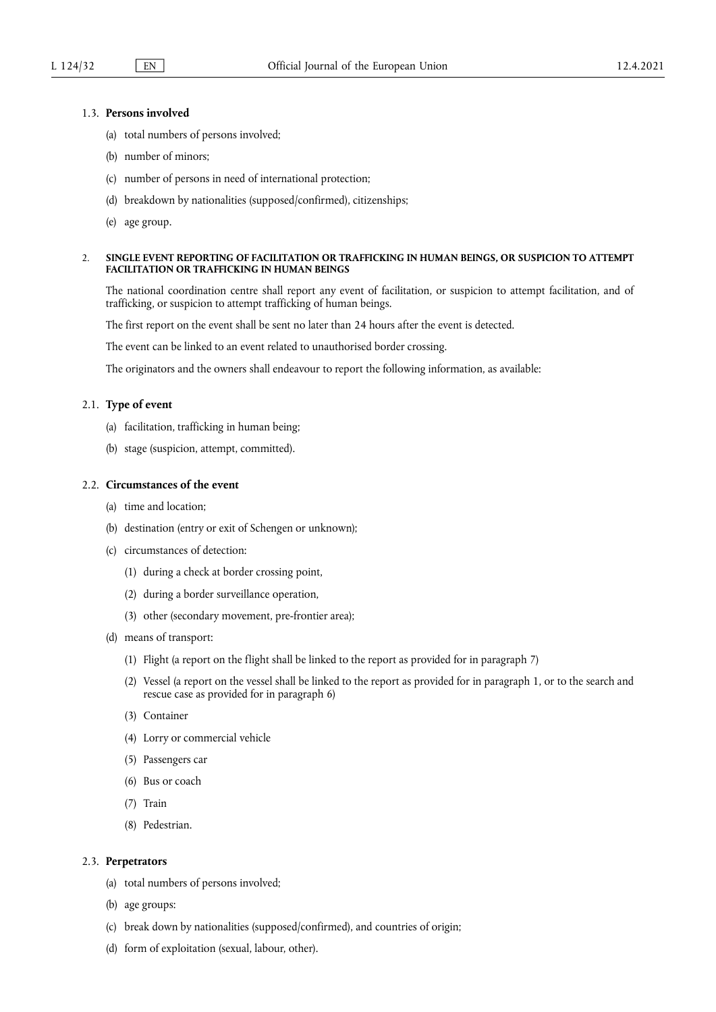# 1.3. **Persons involved**

- (a) total numbers of persons involved;
- (b) number of minors;
- (c) number of persons in need of international protection;
- (d) breakdown by nationalities (supposed/confirmed), citizenships;
- (e) age group.

## 2. **SINGLE EVENT REPORTING OF FACILITATION OR TRAFFICKING IN HUMAN BEINGS, OR SUSPICION TO ATTEMPT FACILITATION OR TRAFFICKING IN HUMAN BEINGS**

The national coordination centre shall report any event of facilitation, or suspicion to attempt facilitation, and of trafficking, or suspicion to attempt trafficking of human beings.

The first report on the event shall be sent no later than 24 hours after the event is detected.

The event can be linked to an event related to unauthorised border crossing.

The originators and the owners shall endeavour to report the following information, as available:

## 2.1. **Type of event**

- (a) facilitation, trafficking in human being;
- (b) stage (suspicion, attempt, committed).

# 2.2. **Circumstances of the event**

- (a) time and location;
- (b) destination (entry or exit of Schengen or unknown);
- (c) circumstances of detection:
	- (1) during a check at border crossing point,
	- (2) during a border surveillance operation,
	- (3) other (secondary movement, pre-frontier area);
- (d) means of transport:
	- (1) Flight (a report on the flight shall be linked to the report as provided for in paragraph 7)
	- (2) Vessel (a report on the vessel shall be linked to the report as provided for in paragraph 1, or to the search and rescue case as provided for in paragraph 6)
	- (3) Container
	- (4) Lorry or commercial vehicle
	- (5) Passengers car
	- (6) Bus or coach
	- (7) Train
	- (8) Pedestrian.

# 2.3. **Perpetrators**

- (a) total numbers of persons involved;
- (b) age groups:
- (c) break down by nationalities (supposed/confirmed), and countries of origin;
- (d) form of exploitation (sexual, labour, other).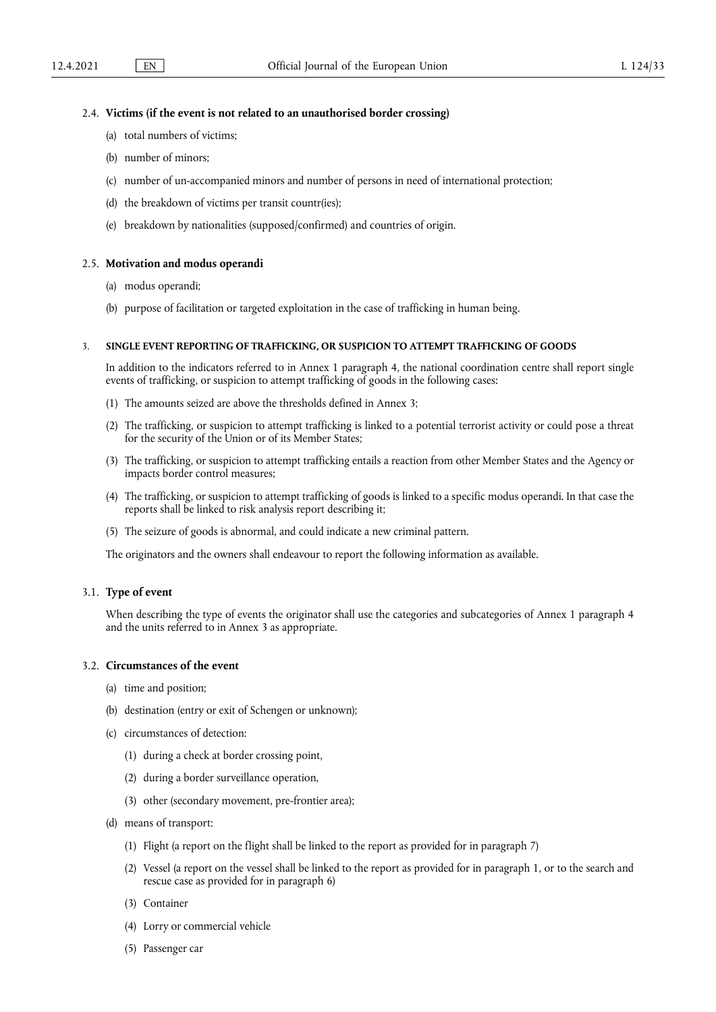## 2.4. **Victims (if the event is not related to an unauthorised border crossing)**

- (a) total numbers of victims;
- (b) number of minors;
- (c) number of un-accompanied minors and number of persons in need of international protection;
- (d) the breakdown of victims per transit countr(ies);
- (e) breakdown by nationalities (supposed/confirmed) and countries of origin.

#### 2.5. **Motivation and modus operandi**

- (a) modus operandi;
- (b) purpose of facilitation or targeted exploitation in the case of trafficking in human being.

#### 3. **SINGLE EVENT REPORTING OF TRAFFICKING, OR SUSPICION TO ATTEMPT TRAFFICKING OF GOODS**

In addition to the indicators referred to in Annex 1 paragraph 4, the national coordination centre shall report single events of trafficking, or suspicion to attempt trafficking of goods in the following cases:

- (1) The amounts seized are above the thresholds defined in Annex 3;
- (2) The trafficking, or suspicion to attempt trafficking is linked to a potential terrorist activity or could pose a threat for the security of the Union or of its Member States;
- (3) The trafficking, or suspicion to attempt trafficking entails a reaction from other Member States and the Agency or impacts border control measures;
- (4) The trafficking, or suspicion to attempt trafficking of goods is linked to a specific modus operandi. In that case the reports shall be linked to risk analysis report describing it;
- (5) The seizure of goods is abnormal, and could indicate a new criminal pattern.

The originators and the owners shall endeavour to report the following information as available.

#### 3.1. **Type of event**

When describing the type of events the originator shall use the categories and subcategories of Annex 1 paragraph 4 and the units referred to in Annex 3 as appropriate.

# 3.2. **Circumstances of the event**

- (a) time and position;
- (b) destination (entry or exit of Schengen or unknown);
- (c) circumstances of detection:
	- (1) during a check at border crossing point,
	- (2) during a border surveillance operation,
	- (3) other (secondary movement, pre-frontier area);
- (d) means of transport:
	- (1) Flight (a report on the flight shall be linked to the report as provided for in paragraph 7)
	- (2) Vessel (a report on the vessel shall be linked to the report as provided for in paragraph 1, or to the search and rescue case as provided for in paragraph 6)
	- (3) Container
	- (4) Lorry or commercial vehicle
	- (5) Passenger car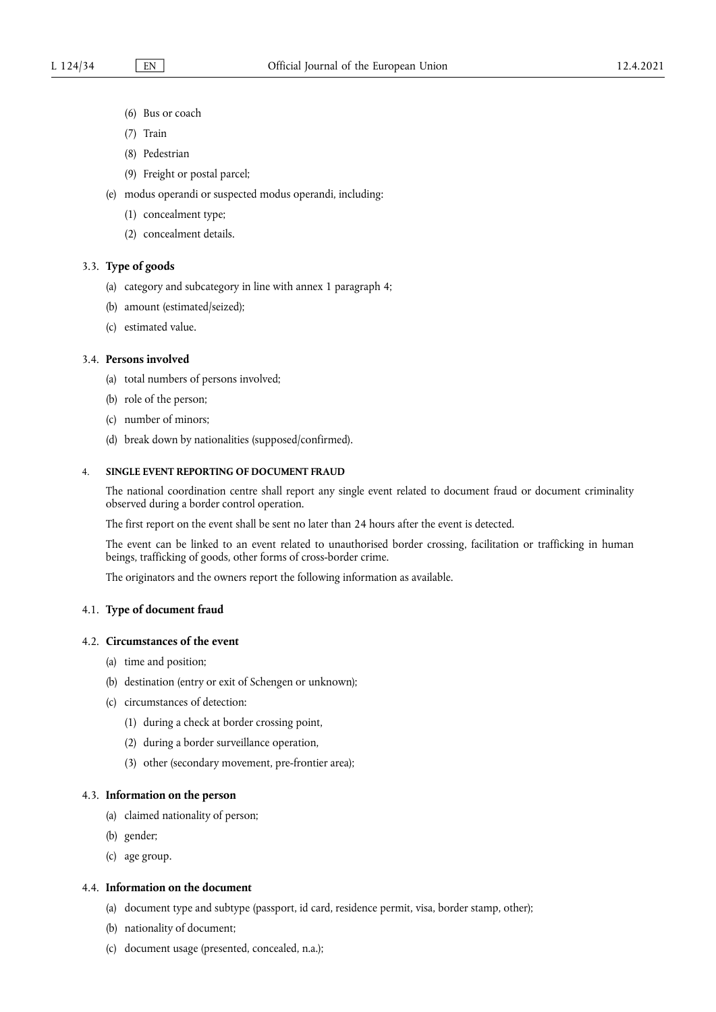- (6) Bus or coach
- (7) Train
- (8) Pedestrian
- (9) Freight or postal parcel;
- (e) modus operandi or suspected modus operandi, including:
	- (1) concealment type;
	- (2) concealment details.

## 3.3. **Type of goods**

- (a) category and subcategory in line with annex 1 paragraph 4;
- (b) amount (estimated/seized);
- (c) estimated value.

# 3.4. **Persons involved**

- (a) total numbers of persons involved;
- (b) role of the person;
- (c) number of minors;
- (d) break down by nationalities (supposed/confirmed).

# 4. **SINGLE EVENT REPORTING OF DOCUMENT FRAUD**

The national coordination centre shall report any single event related to document fraud or document criminality observed during a border control operation.

The first report on the event shall be sent no later than 24 hours after the event is detected.

The event can be linked to an event related to unauthorised border crossing, facilitation or trafficking in human beings, trafficking of goods, other forms of cross-border crime.

The originators and the owners report the following information as available.

# 4.1. **Type of document fraud**

# 4.2. **Circumstances of the event**

- (a) time and position;
- (b) destination (entry or exit of Schengen or unknown);
- (c) circumstances of detection:
	- (1) during a check at border crossing point,
	- (2) during a border surveillance operation,
	- (3) other (secondary movement, pre-frontier area);

# 4.3. **Information on the person**

- (a) claimed nationality of person;
- (b) gender;
- (c) age group.

# 4.4. **Information on the document**

- (a) document type and subtype (passport, id card, residence permit, visa, border stamp, other);
- (b) nationality of document;
- (c) document usage (presented, concealed, n.a.);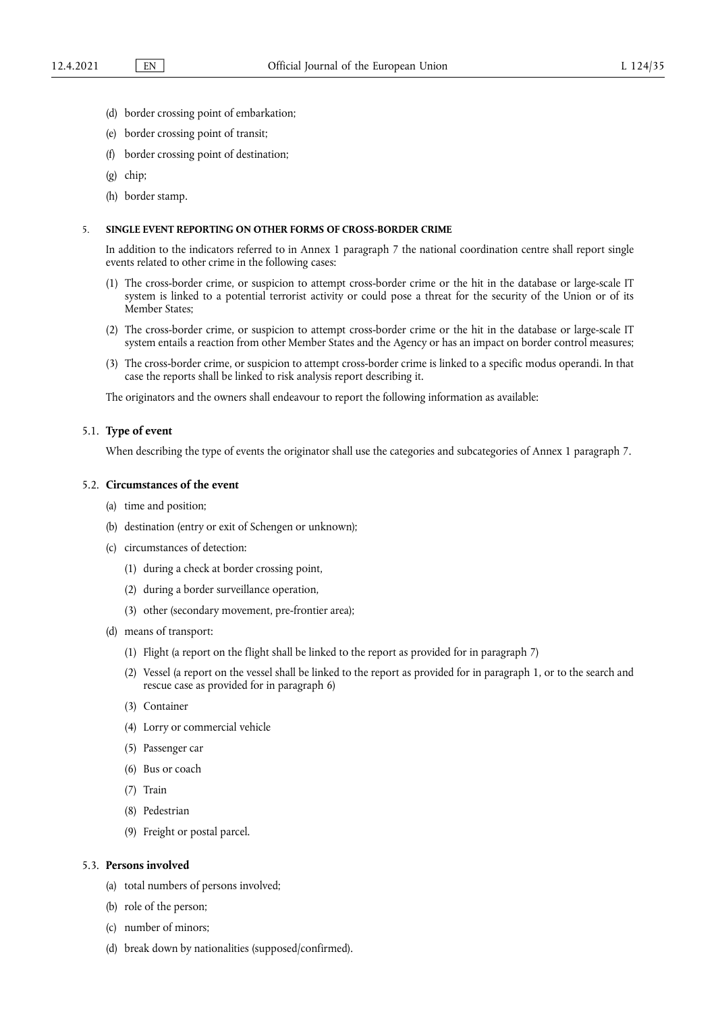- (d) border crossing point of embarkation;
- (e) border crossing point of transit;
- (f) border crossing point of destination;
- (g) chip;
- (h) border stamp.

# 5. **SINGLE EVENT REPORTING ON OTHER FORMS OF CROSS-BORDER CRIME**

In addition to the indicators referred to in Annex 1 paragraph 7 the national coordination centre shall report single events related to other crime in the following cases:

- (1) The cross-border crime, or suspicion to attempt cross-border crime or the hit in the database or large-scale IT system is linked to a potential terrorist activity or could pose a threat for the security of the Union or of its Member States;
- (2) The cross-border crime, or suspicion to attempt cross-border crime or the hit in the database or large-scale IT system entails a reaction from other Member States and the Agency or has an impact on border control measures;
- (3) The cross-border crime, or suspicion to attempt cross-border crime is linked to a specific modus operandi. In that case the reports shall be linked to risk analysis report describing it.

The originators and the owners shall endeavour to report the following information as available:

## 5.1. **Type of event**

When describing the type of events the originator shall use the categories and subcategories of Annex 1 paragraph 7.

#### 5.2. **Circumstances of the event**

- (a) time and position;
- (b) destination (entry or exit of Schengen or unknown);
- (c) circumstances of detection:
	- (1) during a check at border crossing point,
	- (2) during a border surveillance operation,
	- (3) other (secondary movement, pre-frontier area);
- (d) means of transport:
	- (1) Flight (a report on the flight shall be linked to the report as provided for in paragraph 7)
	- (2) Vessel (a report on the vessel shall be linked to the report as provided for in paragraph 1, or to the search and rescue case as provided for in paragraph 6)
	- (3) Container
	- (4) Lorry or commercial vehicle
	- (5) Passenger car
	- (6) Bus or coach
	- (7) Train
	- (8) Pedestrian
	- (9) Freight or postal parcel.

# 5.3. **Persons involved**

- (a) total numbers of persons involved;
- (b) role of the person;
- (c) number of minors;
- (d) break down by nationalities (supposed/confirmed).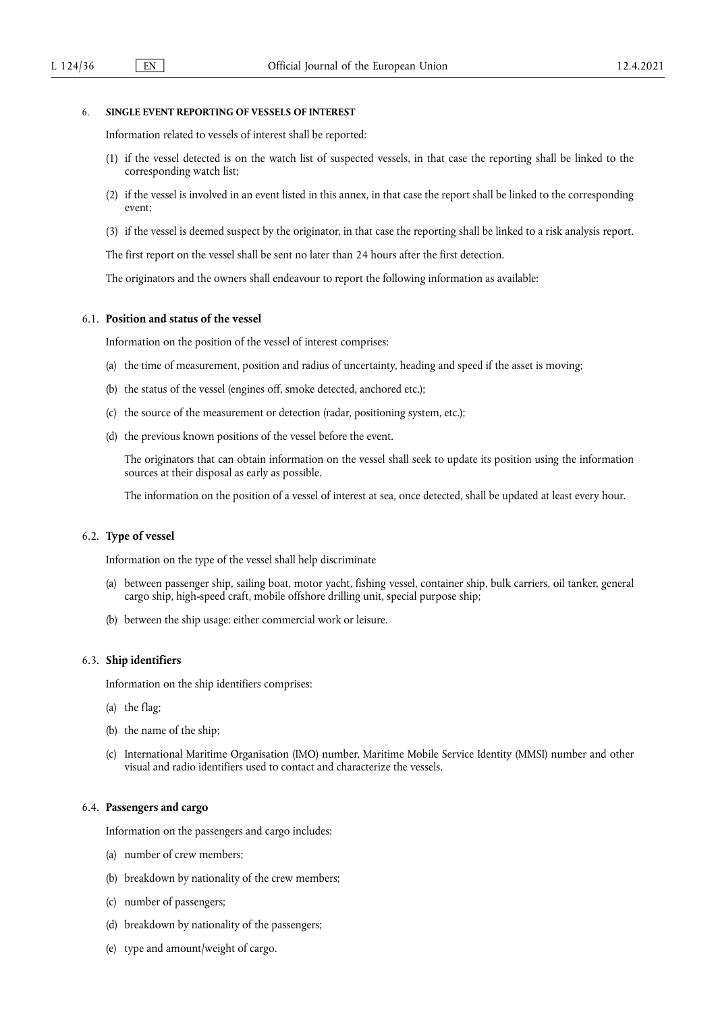## 6. **SINGLE EVENT REPORTING OF VESSELS OF INTEREST**

Information related to vessels of interest shall be reported:

- (1) if the vessel detected is on the watch list of suspected vessels, in that case the reporting shall be linked to the corresponding watch list;
- (2) if the vessel is involved in an event listed in this annex, in that case the report shall be linked to the corresponding event;
- (3) if the vessel is deemed suspect by the originator, in that case the reporting shall be linked to a risk analysis report.

The first report on the vessel shall be sent no later than 24 hours after the first detection.

The originators and the owners shall endeavour to report the following information as available:

## 6.1. **Position and status of the vessel**

Information on the position of the vessel of interest comprises:

- (a) the time of measurement, position and radius of uncertainty, heading and speed if the asset is moving;
- (b) the status of the vessel (engines off, smoke detected, anchored etc.);
- (c) the source of the measurement or detection (radar, positioning system, etc.);
- (d) the previous known positions of the vessel before the event.

The originators that can obtain information on the vessel shall seek to update its position using the information sources at their disposal as early as possible.

The information on the position of a vessel of interest at sea, once detected, shall be updated at least every hour.

#### 6.2. **Type of vessel**

Information on the type of the vessel shall help discriminate

- (a) between passenger ship, sailing boat, motor yacht, fishing vessel, container ship, bulk carriers, oil tanker, general cargo ship, high-speed craft, mobile offshore drilling unit, special purpose ship;
- (b) between the ship usage: either commercial work or leisure.

#### 6.3. **Ship identifiers**

Information on the ship identifiers comprises:

- (a) the flag;
- (b) the name of the ship;
- (c) International Maritime Organisation (IMO) number, Maritime Mobile Service Identity (MMSI) number and other visual and radio identifiers used to contact and characterize the vessels.

## 6.4. **Passengers and cargo**

Information on the passengers and cargo includes:

- (a) number of crew members;
- (b) breakdown by nationality of the crew members;
- (c) number of passengers;
- (d) breakdown by nationality of the passengers;
- (e) type and amount/weight of cargo.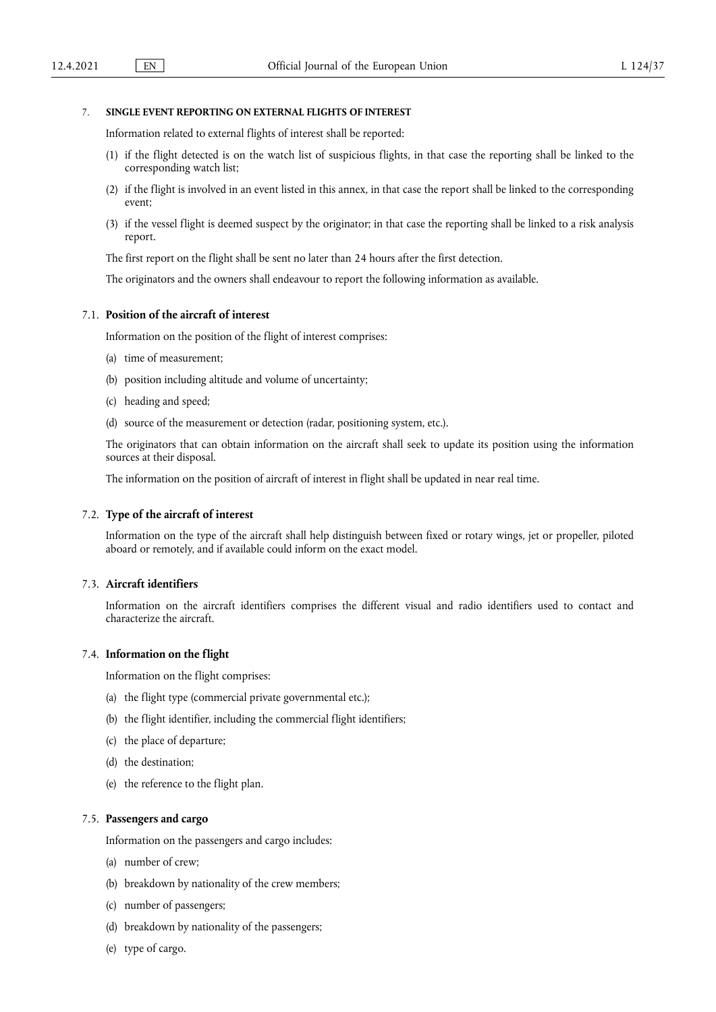# 7. **SINGLE EVENT REPORTING ON EXTERNAL FLIGHTS OF INTEREST**

Information related to external flights of interest shall be reported:

- (1) if the flight detected is on the watch list of suspicious flights, in that case the reporting shall be linked to the corresponding watch list;
- (2) if the flight is involved in an event listed in this annex, in that case the report shall be linked to the corresponding event;
- (3) if the vessel flight is deemed suspect by the originator; in that case the reporting shall be linked to a risk analysis report.

The first report on the flight shall be sent no later than 24 hours after the first detection.

The originators and the owners shall endeavour to report the following information as available.

# 7.1. **Position of the aircraft of interest**

Information on the position of the flight of interest comprises:

- (a) time of measurement;
- (b) position including altitude and volume of uncertainty;
- (c) heading and speed;
- (d) source of the measurement or detection (radar, positioning system, etc.).

The originators that can obtain information on the aircraft shall seek to update its position using the information sources at their disposal.

The information on the position of aircraft of interest in flight shall be updated in near real time.

## 7.2. **Type of the aircraft of interest**

Information on the type of the aircraft shall help distinguish between fixed or rotary wings, jet or propeller, piloted aboard or remotely, and if available could inform on the exact model.

# 7.3. **Aircraft identifiers**

Information on the aircraft identifiers comprises the different visual and radio identifiers used to contact and characterize the aircraft.

#### 7.4. **Information on the flight**

Information on the flight comprises:

- (a) the flight type (commercial private governmental etc.);
- (b) the flight identifier, including the commercial flight identifiers;
- (c) the place of departure;
- (d) the destination;
- (e) the reference to the flight plan.

#### 7.5. **Passengers and cargo**

Information on the passengers and cargo includes:

- (a) number of crew;
- (b) breakdown by nationality of the crew members;
- (c) number of passengers;
- (d) breakdown by nationality of the passengers;
- (e) type of cargo.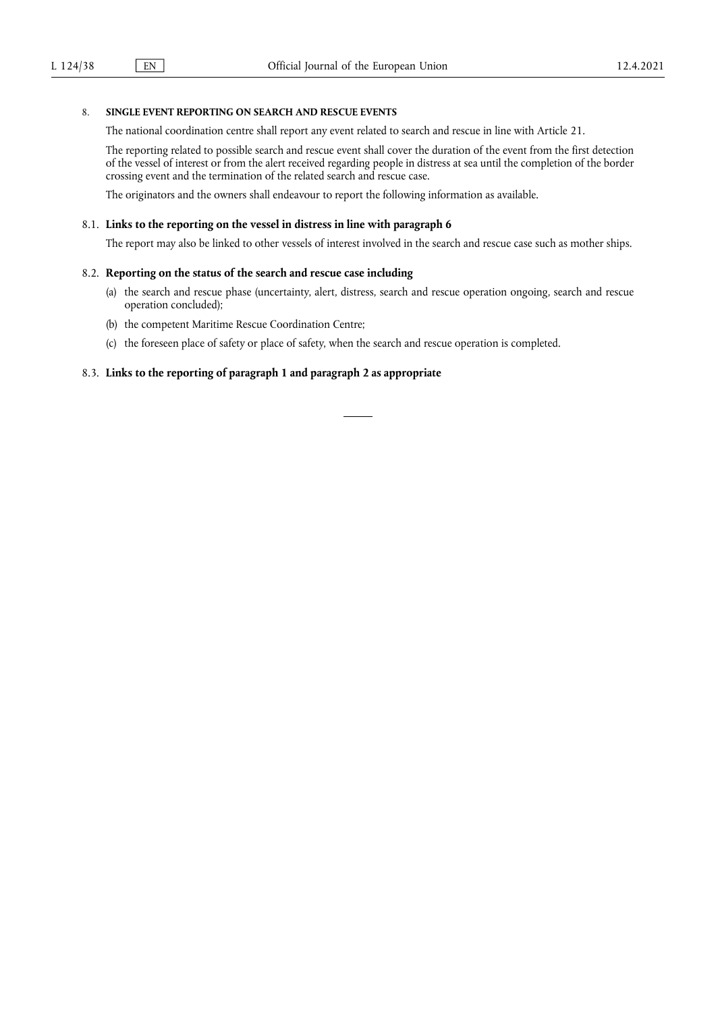# 8. **SINGLE EVENT REPORTING ON SEARCH AND RESCUE EVENTS**

The national coordination centre shall report any event related to search and rescue in line with Article 21.

The reporting related to possible search and rescue event shall cover the duration of the event from the first detection of the vessel of interest or from the alert received regarding people in distress at sea until the completion of the border crossing event and the termination of the related search and rescue case.

The originators and the owners shall endeavour to report the following information as available.

## 8.1. **Links to the reporting on the vessel in distress in line with paragraph 6**

The report may also be linked to other vessels of interest involved in the search and rescue case such as mother ships.

## 8.2. **Reporting on the status of the search and rescue case including**

- (a) the search and rescue phase (uncertainty, alert, distress, search and rescue operation ongoing, search and rescue operation concluded);
- (b) the competent Maritime Rescue Coordination Centre;
- (c) the foreseen place of safety or place of safety, when the search and rescue operation is completed.

# 8.3. **Links to the reporting of paragraph 1 and paragraph 2 as appropriate**